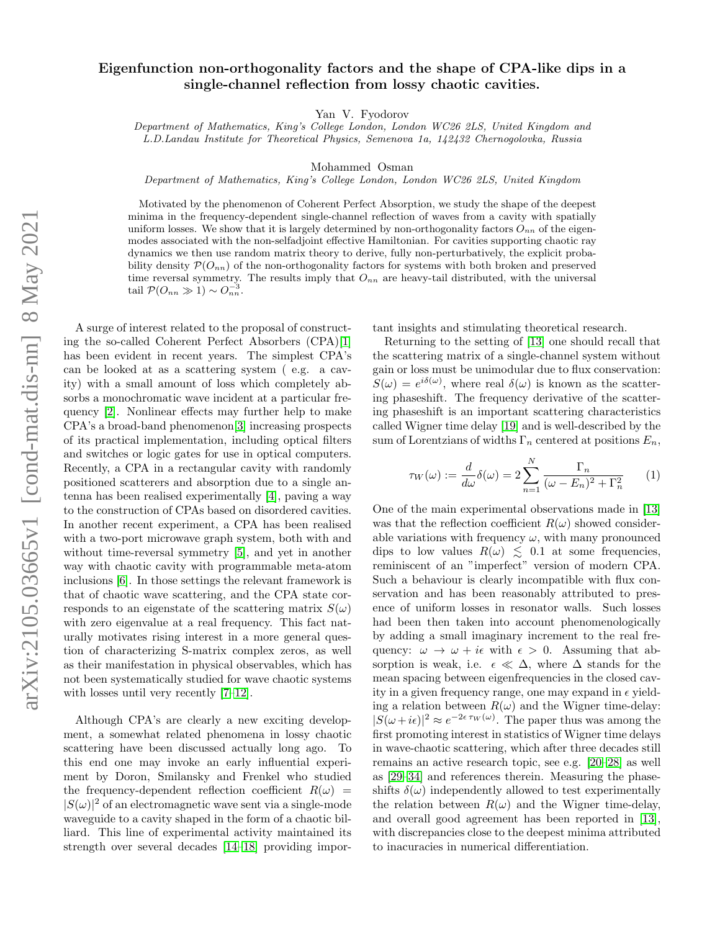# Eigenfunction non-orthogonality factors and the shape of CPA-like dips in a single-channel reflection from lossy chaotic cavities.

Yan V. Fyodorov

Department of Mathematics, King's College London, London WC26 2LS, United Kingdom and L.D.Landau Institute for Theoretical Physics, Semenova 1a, 142432 Chernogolovka, Russia

Mohammed Osman

Department of Mathematics, King's College London, London WC26 2LS, United Kingdom

Motivated by the phenomenon of Coherent Perfect Absorption, we study the shape of the deepest minima in the frequency-dependent single-channel reflection of waves from a cavity with spatially uniform losses. We show that it is largely determined by non-orthogonality factors  $O_{nn}$  of the eigenmodes associated with the non-selfadjoint effective Hamiltonian. For cavities supporting chaotic ray dynamics we then use random matrix theory to derive, fully non-perturbatively, the explicit probability density  $\mathcal{P}(O_{nn})$  of the non-orthogonality factors for systems with both broken and preserved time reversal symmetry. The results imply that  $O_{nn}$  are heavy-tail distributed, with the universal tail  $\mathcal{P}(O_{nn} \gg 1) \sim O_{nn}^{-3}$ .

A surge of interest related to the proposal of constructing the so-called Coherent Perfect Absorbers (CPA)[\[1\]](#page-4-0) has been evident in recent years. The simplest CPA's can be looked at as a scattering system ( e.g. a cavity) with a small amount of loss which completely absorbs a monochromatic wave incident at a particular frequency [\[2\]](#page-4-1). Nonlinear effects may further help to make CPA's a broad-band phenomenon[\[3\]](#page-4-2) increasing prospects of its practical implementation, including optical filters and switches or logic gates for use in optical computers. Recently, a CPA in a rectangular cavity with randomly positioned scatterers and absorption due to a single antenna has been realised experimentally [\[4\]](#page-4-3), paving a way to the construction of CPAs based on disordered cavities. In another recent experiment, a CPA has been realised with a two-port microwave graph system, both with and without time-reversal symmetry [\[5\]](#page-4-4), and yet in another way with chaotic cavity with programmable meta-atom inclusions [\[6\]](#page-4-5). In those settings the relevant framework is that of chaotic wave scattering, and the CPA state corresponds to an eigenstate of the scattering matrix  $S(\omega)$ with zero eigenvalue at a real frequency. This fact naturally motivates rising interest in a more general question of characterizing S-matrix complex zeros, as well as their manifestation in physical observables, which has not been systematically studied for wave chaotic systems with losses until very recently [\[7–](#page-4-6)[12\]](#page-4-7).

Although CPA's are clearly a new exciting development, a somewhat related phenomena in lossy chaotic scattering have been discussed actually long ago. To this end one may invoke an early influential experiment by Doron, Smilansky and Frenkel who studied the frequency-dependent reflection coefficient  $R(\omega)$  =  $|S(\omega)|^2$  of an electromagnetic wave sent via a single-mode waveguide to a cavity shaped in the form of a chaotic billiard. This line of experimental activity maintained its strength over several decades [\[14–](#page-4-8)[18\]](#page-5-0) providing important insights and stimulating theoretical research.

Returning to the setting of [\[13\]](#page-4-9) one should recall that the scattering matrix of a single-channel system without gain or loss must be unimodular due to flux conservation:  $S(\omega) = e^{i\delta(\omega)}$ , where real  $\delta(\omega)$  is known as the scattering phaseshift. The frequency derivative of the scattering phaseshift is an important scattering characteristics called Wigner time delay [\[19\]](#page-5-1) and is well-described by the sum of Lorentzians of widths  $\Gamma_n$  centered at positions  $E_n$ ,

<span id="page-0-0"></span>
$$
\tau_W(\omega) := \frac{d}{d\omega} \delta(\omega) = 2 \sum_{n=1}^N \frac{\Gamma_n}{(\omega - E_n)^2 + \Gamma_n^2} \qquad (1)
$$

One of the main experimental observations made in [\[13\]](#page-4-9) was that the reflection coefficient  $R(\omega)$  showed considerable variations with frequency  $\omega$ , with many pronounced dips to low values  $R(\omega) \leq 0.1$  at some frequencies, reminiscent of an "imperfect" version of modern CPA. Such a behaviour is clearly incompatible with flux conservation and has been reasonably attributed to presence of uniform losses in resonator walls. Such losses had been then taken into account phenomenologically by adding a small imaginary increment to the real frequency:  $\omega \to \omega + i\epsilon$  with  $\epsilon > 0$ . Assuming that absorption is weak, i.e.  $\epsilon \ll \Delta$ , where  $\Delta$  stands for the mean spacing between eigenfrequencies in the closed cavity in a given frequency range, one may expand in  $\epsilon$  yielding a relation between  $R(\omega)$  and the Wigner time-delay:  $|S(\omega + i\epsilon)|^2 \approx e^{-2\epsilon \tau_W(\omega)}$ . The paper thus was among the first promoting interest in statistics of Wigner time delays in wave-chaotic scattering, which after three decades still remains an active research topic, see e.g. [\[20–](#page-5-2)[28\]](#page-5-3) as well as [\[29](#page-5-4)[–34\]](#page-5-5) and references therein. Measuring the phaseshifts  $\delta(\omega)$  independently allowed to test experimentally the relation between  $R(\omega)$  and the Wigner time-delay, and overall good agreement has been reported in [\[13\]](#page-4-9), with discrepancies close to the deepest minima attributed to inacuracies in numerical differentiation.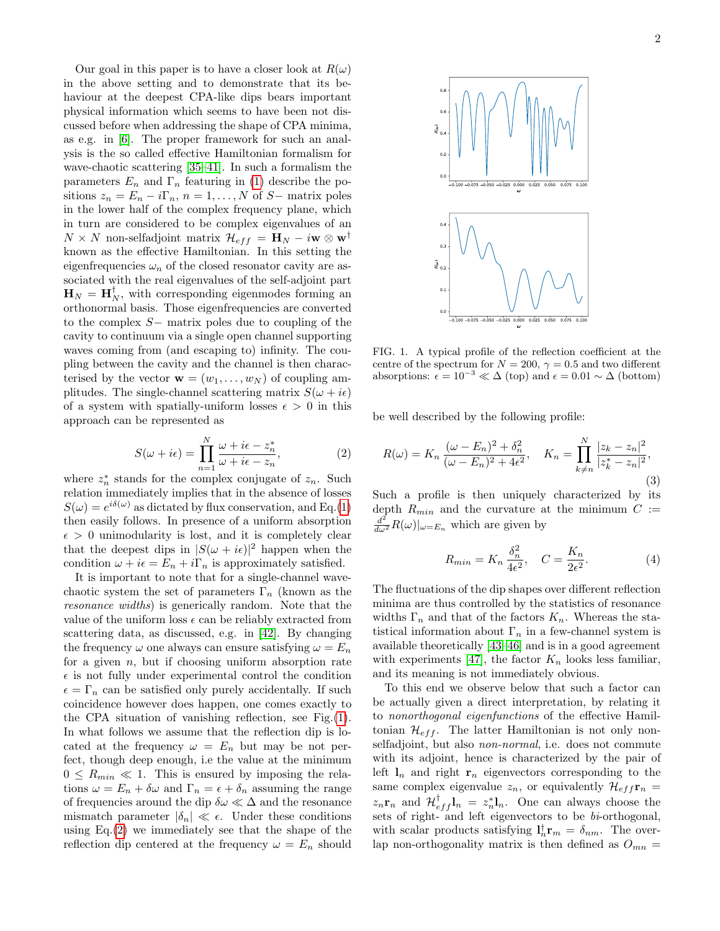Our goal in this paper is to have a closer look at  $R(\omega)$ in the above setting and to demonstrate that its behaviour at the deepest CPA-like dips bears important physical information which seems to have been not discussed before when addressing the shape of CPA minima, as e.g. in [\[6\]](#page-4-5). The proper framework for such an analysis is the so called effective Hamiltonian formalism for wave-chaotic scattering [\[35–](#page-5-6)[41\]](#page-5-7). In such a formalism the parameters  $E_n$  and  $\Gamma_n$  featuring in [\(1\)](#page-0-0) describe the positions  $z_n = E_n - i\Gamma_n$ ,  $n = 1, ..., N$  of S– matrix poles in the lower half of the complex frequency plane, which in turn are considered to be complex eigenvalues of an  $N \times N$  non-selfadjoint matrix  $\mathcal{H}_{eff} = \mathbf{H}_N - i\mathbf{w} \otimes \mathbf{w}^{\dagger}$ known as the effective Hamiltonian. In this setting the eigenfrequencies  $\omega_n$  of the closed resonator cavity are associated with the real eigenvalues of the self-adjoint part  $\mathbf{H}_N = \mathbf{H}_N^{\dagger}$ , with corresponding eigenmodes forming an orthonormal basis. Those eigenfrequencies are converted to the complex S− matrix poles due to coupling of the cavity to continuum via a single open channel supporting waves coming from (and escaping to) infinity. The coupling between the cavity and the channel is then characterised by the vector  $\mathbf{w} = (w_1, \dots, w_N)$  of coupling amplitudes. The single-channel scattering matrix  $S(\omega + i\epsilon)$ of a system with spatially-uniform losses  $\epsilon > 0$  in this approach can be represented as

<span id="page-1-1"></span>
$$
S(\omega + i\epsilon) = \prod_{n=1}^{N} \frac{\omega + i\epsilon - z_n^*}{\omega + i\epsilon - z_n},
$$
 (2)

where  $z_n^*$  stands for the complex conjugate of  $z_n$ . Such relation immediately implies that in the absence of losses  $S(\omega) = e^{i\delta(\omega)}$  as dictated by flux conservation, and Eq.[\(1\)](#page-0-0) then easily follows. In presence of a uniform absorption  $\epsilon > 0$  unimodularity is lost, and it is completely clear that the deepest dips in  $|S(\omega + i\epsilon)|^2$  happen when the condition  $\omega + i\epsilon = E_n + i\Gamma_n$  is approximately satisfied.

It is important to note that for a single-channel wavechaotic system the set of parameters  $\Gamma_n$  (known as the resonance widths) is generically random. Note that the value of the uniform loss  $\epsilon$  can be reliably extracted from scattering data, as discussed, e.g. in [\[42\]](#page-5-8). By changing the frequency  $\omega$  one always can ensure satisfying  $\omega = E_n$ for a given  $n$ , but if choosing uniform absorption rate  $\epsilon$  is not fully under experimental control the condition  $\epsilon = \Gamma_n$  can be satisfied only purely accidentally. If such coincidence however does happen, one comes exactly to the CPA situation of vanishing reflection, see Fig.[\(1\)](#page-1-0). In what follows we assume that the reflection dip is located at the frequency  $\omega = E_n$  but may be not perfect, though deep enough, i.e the value at the minimum  $0 \le R_{min} \ll 1$ . This is ensured by imposing the relations  $\omega = E_n + \delta \omega$  and  $\Gamma_n = \epsilon + \delta_n$  assuming the range of frequencies around the dip  $\delta\omega \ll \Delta$  and the resonance mismatch parameter  $|\delta_n| \ll \epsilon$ . Under these conditions using Eq.[\(2\)](#page-1-1) we immediately see that the shape of the reflection dip centered at the frequency  $\omega = E_n$  should



<span id="page-1-0"></span>FIG. 1. A typical profile of the reflection coefficient at the centre of the spectrum for  $N = 200$ ,  $\gamma = 0.5$  and two different absorptions:  $\epsilon = 10^{-3} \ll \Delta$  (top) and  $\epsilon = 0.01 \sim \Delta$  (bottom)

be well described by the following profile:

<span id="page-1-2"></span>
$$
R(\omega) = K_n \frac{(\omega - E_n)^2 + \delta_n^2}{(\omega - E_n)^2 + 4\epsilon^2}, \quad K_n = \prod_{k \neq n}^N \frac{|z_k - z_n|^2}{|z_k^* - z_n|^2},\tag{3}
$$

Such a profile is then uniquely characterized by its depth  $R_{min}$  and the curvature at the minimum  $C :=$  $\frac{d^2}{d\omega^2}R(\omega)|_{\omega=E_n}$  which are given by

$$
R_{min} = K_n \frac{\delta_n^2}{4\epsilon^2}, \quad C = \frac{K_n}{2\epsilon^2}.
$$
 (4)

The fluctuations of the dip shapes over different reflection minima are thus controlled by the statistics of resonance widths  $\Gamma_n$  and that of the factors  $K_n$ . Whereas the statistical information about  $\Gamma_n$  in a few-channel system is available theoretically [\[43–](#page-5-9)[46\]](#page-5-10) and is in a good agreement with experiments [\[47\]](#page-5-11), the factor  $K_n$  looks less familiar, and its meaning is not immediately obvious.

To this end we observe below that such a factor can be actually given a direct interpretation, by relating it to nonorthogonal eigenfunctions of the effective Hamiltonian  $\mathcal{H}_{eff}$ . The latter Hamiltonian is not only nonselfadjoint, but also *non-normal*, i.e. does not commute with its adjoint, hence is characterized by the pair of left  $l_n$  and right  $r_n$  eigenvectors corresponding to the same complex eigenvalue  $z_n$ , or equivalently  $\mathcal{H}_{eff}$ **r**<sub>n</sub> =  $z_n \mathbf{r}_n$  and  $\mathcal{H}_{eff}^{\dagger} \mathbf{l}_n = z_n^* \mathbf{l}_n$ . One can always choose the sets of right- and left eigenvectors to be  $bi\text{-orthogonal}$ , with scalar products satisfying  $\mathbf{l}_n^{\dagger} \mathbf{r}_m = \delta_{nm}$ . The overlap non-orthogonality matrix is then defined as  $O_{mn}$  =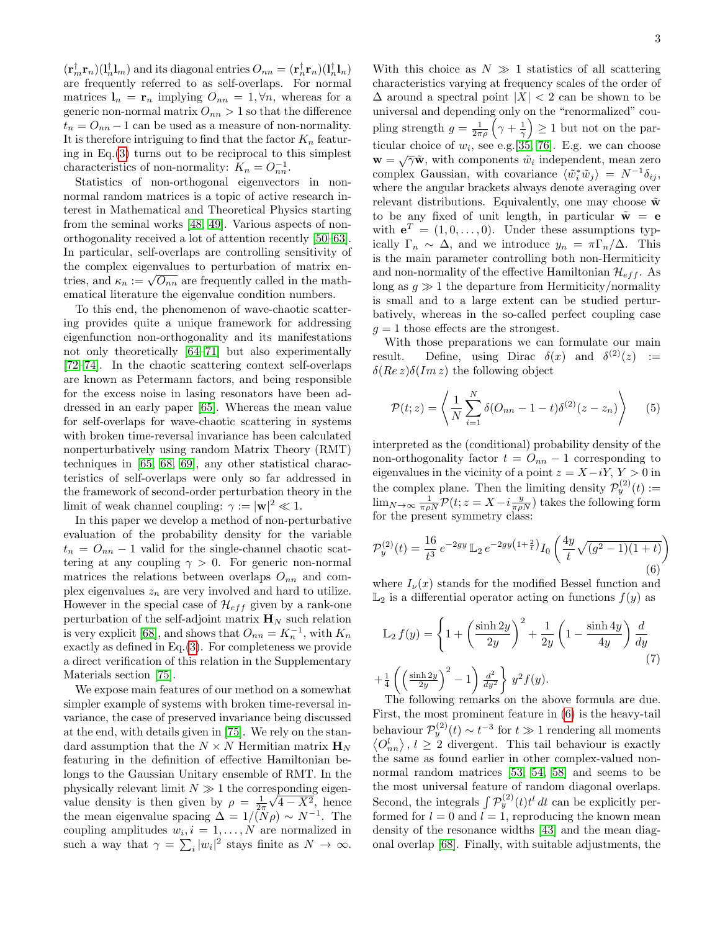$(\mathbf{r}_m^{\dagger} \mathbf{r}_n)(\mathbf{l}_n^{\dagger} \mathbf{l}_m)$  and its diagonal entries  $O_{nn} = (\mathbf{r}_n^{\dagger} \mathbf{r}_n)(\mathbf{l}_n^{\dagger} \mathbf{l}_n)$ are frequently referred to as self-overlaps. For normal matrices  $\mathbf{l}_n = \mathbf{r}_n$  implying  $O_{nn} = 1, \forall n$ , whereas for a generic non-normal matrix  $O_{nn} > 1$  so that the difference  $t_n = O_{nn} - 1$  can be used as a measure of non-normality. It is therefore intriguing to find that the factor  $K_n$  featuring in Eq. $(3)$  turns out to be reciprocal to this simplest characteristics of non-normality:  $K_n = O_{nn}^{-1}$ .

Statistics of non-orthogonal eigenvectors in nonnormal random matrices is a topic of active research interest in Mathematical and Theoretical Physics starting from the seminal works [\[48,](#page-5-12) [49\]](#page-5-13). Various aspects of nonorthogonality received a lot of attention recently [\[50–](#page-5-14)[63\]](#page-6-0). In particular, self-overlaps are controlling sensitivity of the complex eigenvalues to perturbation of matrix enthe complex eigenvalues to perturbation of matrix entries, and  $\kappa_n := \sqrt{O_{nn}}$  are frequently called in the mathematical literature the eigenvalue condition numbers.

To this end, the phenomenon of wave-chaotic scattering provides quite a unique framework for addressing eigenfunction non-orthogonality and its manifestations not only theoretically [\[64–](#page-6-1)[71\]](#page-6-2) but also experimentally [\[72–](#page-6-3)[74\]](#page-6-4). In the chaotic scattering context self-overlaps are known as Petermann factors, and being responsible for the excess noise in lasing resonators have been addressed in an early paper [\[65\]](#page-6-5). Whereas the mean value for self-overlaps for wave-chaotic scattering in systems with broken time-reversal invariance has been calculated nonperturbatively using random Matrix Theory (RMT) techniques in [\[65,](#page-6-5) [68,](#page-6-6) [69\]](#page-6-7), any other statistical characteristics of self-overlaps were only so far addressed in the framework of second-order perturbation theory in the limit of weak channel coupling:  $\gamma := |\mathbf{w}|^2 \ll 1$ .

In this paper we develop a method of non-perturbative evaluation of the probability density for the variable  $t_n = O_{nn} - 1$  valid for the single-channel chaotic scattering at any coupling  $\gamma > 0$ . For generic non-normal matrices the relations between overlaps  $O_{nn}$  and complex eigenvalues  $z_n$  are very involved and hard to utilize. However in the special case of  $\mathcal{H}_{eff}$  given by a rank-one perturbation of the self-adjoint matrix  $\mathbf{H}_{N}$  such relation is very explicit [\[68\]](#page-6-6), and shows that  $O_{nn} = K_n^{-1}$ , with  $K_n$ exactly as defined in Eq.[\(3\)](#page-1-2). For completeness we provide a direct verification of this relation in the Supplementary Materials section [\[75\]](#page-6-8).

We expose main features of our method on a somewhat simpler example of systems with broken time-reversal invariance, the case of preserved invariance being discussed at the end, with details given in [\[75\]](#page-6-8). We rely on the standard assumption that the  $N \times N$  Hermitian matrix  $\mathbf{H}_N$ featuring in the definition of effective Hamiltonian belongs to the Gaussian Unitary ensemble of RMT. In the physically relevant limit  $N \gg 1$  the corresponding eigenvalue density is then given by  $\rho = \frac{1}{2\pi}\sqrt{4 - X^2}$ , hence the mean eigenvalue spacing  $\Delta = 1/\tilde(N\rho) \sim N^{-1}$ . The coupling amplitudes  $w_i, i = 1, \ldots, N$  are normalized in such a way that  $\gamma = \sum_i |w_i|^2$  stays finite as  $N \to \infty$ .

With this choice as  $N \gg 1$  statistics of all scattering characteristics varying at frequency scales of the order of  $\Delta$  around a spectral point  $|X| < 2$  can be shown to be universal and depending only on the "renormalized" coupling strength  $g = \frac{1}{2\pi\rho} \left(\gamma + \frac{1}{\gamma}\right) \ge 1$  but not on the particular choice of  $w_i$ , see e.g. [\[35,](#page-5-6) [76\]](#page-6-9). E.g. we can choose w =  $\sqrt{\gamma} \tilde{\mathbf{w}}$ , with components  $\tilde{w}_i$  independent, mean zero complex Gaussian, with covariance  $\langle \tilde{w}_i^* \tilde{w}_j \rangle = N^{-1} \delta_{ij},$ where the angular brackets always denote averaging over relevant distributions. Equivalently, one may choose  $\tilde{\mathbf{w}}$ to be any fixed of unit length, in particular  $\tilde{\mathbf{w}} = \mathbf{e}$ with  $e^T = (1, 0, \ldots, 0)$ . Under these assumptions typically  $\Gamma_n \sim \Delta$ , and we introduce  $y_n = \pi \Gamma_n / \Delta$ . This is the main parameter controlling both non-Hermiticity and non-normality of the effective Hamiltonian  $\mathcal{H}_{eff}$ . As long as  $g \gg 1$  the departure from Hermiticity/normality is small and to a large extent can be studied perturbatively, whereas in the so-called perfect coupling case  $g = 1$  those effects are the strongest.

With those preparations we can formulate our main result. Define, using Dirac  $\delta(x)$  and  $\delta^{(2)}(z)$  :=  $\delta(Re\,z)\delta(Im\,z)$  the following object

$$
\mathcal{P}(t;z) = \left\langle \frac{1}{N} \sum_{i=1}^{N} \delta(O_{nn} - 1 - t) \delta^{(2)}(z - z_n) \right\rangle \tag{5}
$$

interpreted as the (conditional) probability density of the non-orthogonality factor  $t = O_{nn} - 1$  corresponding to eigenvalues in the vicinity of a point  $z = X - iY$ ,  $Y > 0$  in the complex plane. Then the limiting density  $\mathcal{P}_y^{(2)}(t) :=$  $\lim_{N\to\infty} \frac{1}{\pi \rho N} \mathcal{P}(t; z = X - i \frac{y}{\pi \rho N})$  takes the following form for the present symmetry class:

<span id="page-2-0"></span>
$$
\mathcal{P}_y^{(2)}(t) = \frac{16}{t^3} e^{-2gy} \mathbb{L}_2 e^{-2gy(1+\frac{2}{t})} I_0 \left( \frac{4y}{t} \sqrt{(g^2 - 1)(1+t)} \right)
$$
\n(6)

where  $I_{\nu}(x)$  stands for the modified Bessel function and  $\mathbb{L}_2$  is a differential operator acting on functions  $f(y)$  as

<span id="page-2-1"></span>
$$
\mathbb{L}_2 f(y) = \left\{ 1 + \left( \frac{\sinh 2y}{2y} \right)^2 + \frac{1}{2y} \left( 1 - \frac{\sinh 4y}{4y} \right) \frac{d}{dy} \right\}
$$

$$
+ \frac{1}{4} \left( \left( \frac{\sinh 2y}{2y} \right)^2 - 1 \right) \frac{d^2}{dy^2} \right\} y^2 f(y).
$$
\n(T)

The following remarks on the above formula are due. First, the most prominent feature in [\(6\)](#page-2-0) is the heavy-tail behaviour  $\mathcal{P}_y^{(2)}(t) \sim t^{-3}$  for  $t \gg 1$  rendering all moments  $\langle O_{nn}^l \rangle$ ,  $l \geq 2$  divergent. This tail behaviour is exactly the same as found earlier in other complex-valued nonnormal random matrices [\[53,](#page-6-10) [54,](#page-6-11) [58\]](#page-6-12) and seems to be the most universal feature of random diagonal overlaps. Second, the integrals  $\int \mathcal{P}_y^{(2)}(t) t^l dt$  can be explicitly performed for  $l = 0$  and  $l = 1$ , reproducing the known mean density of the resonance widths [\[43\]](#page-5-9) and the mean diagonal overlap [\[68\]](#page-6-6). Finally, with suitable adjustments, the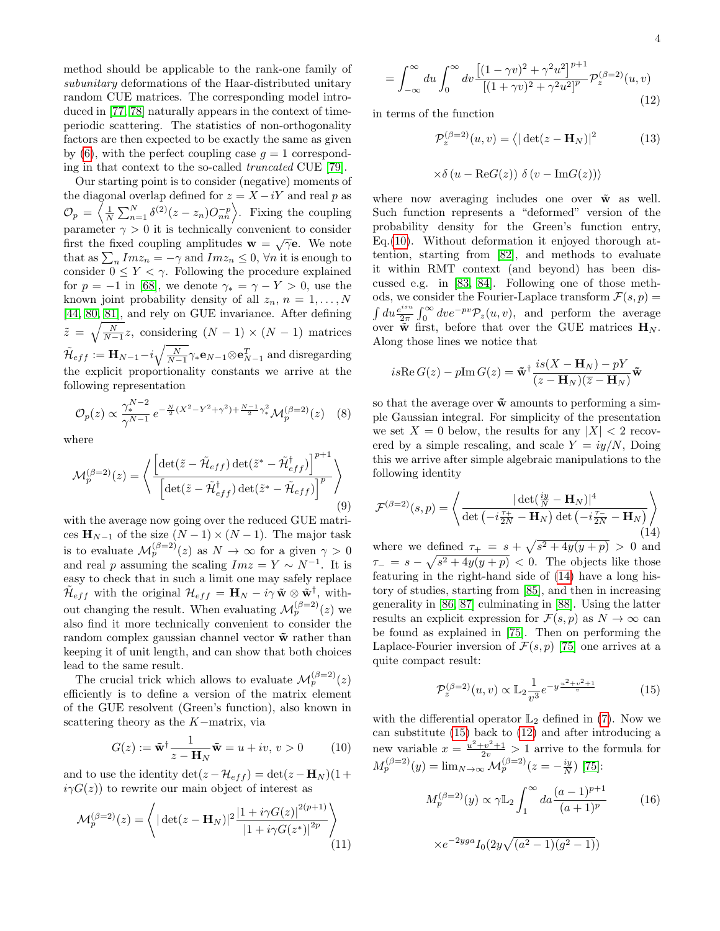method should be applicable to the rank-one family of subunitary deformations of the Haar-distributed unitary random CUE matrices. The corresponding model introduced in [\[77,](#page-6-13) [78\]](#page-6-14) naturally appears in the context of timeperiodic scattering. The statistics of non-orthogonality factors are then expected to be exactly the same as given by [\(6\)](#page-2-0), with the perfect coupling case  $q = 1$  corresponding in that context to the so-called truncated CUE [\[79\]](#page-6-15).

Our starting point is to consider (negative) moments of the diagonal overlap defined for  $z = X - iY$  and real p as  $\mathcal{O}_p = \left\langle \frac{1}{N} \sum_{n=1}^N \delta^{(2)}(z-z_n) O_{nn}^{-p} \right\rangle$ . Fixing the coupling parameter  $\gamma > 0$  it is technically convenient to consider first the fixed coupling amplitudes  $\mathbf{w} = \sqrt{\gamma} \mathbf{e}$ . We note that as  $\sum_{n} Im z_n = -\gamma$  and  $Im z_n \leq 0$ ,  $\forall n$  it is enough to consider  $0 \leq Y < \gamma$ . Following the procedure explained for  $p = -1$  in [\[68\]](#page-6-6), we denote  $\gamma_* = \gamma - Y > 0$ , use the known joint probability density of all  $z_n$ ,  $n = 1, \ldots, N$ [\[44,](#page-5-15) [80,](#page-6-16) [81\]](#page-6-17), and rely on GUE invariance. After defining  $\tilde{z} = \sqrt{\frac{N}{N-1}}z$ , considering  $(N-1) \times (N-1)$  matrices  $\tilde{\mathcal{H}}_{eff}:=\mathbf{H}_{N-1}-i\sqrt{\frac{N}{N-1}}\gamma_*\mathbf{e}_{N-1}\otimes\mathbf{e}_{N-1}^T$  and disregarding the explicit proportionality constants we arrive at the following representation

<span id="page-3-4"></span>
$$
\mathcal{O}_p(z) \propto \frac{\gamma_*^{N-2}}{\gamma^{N-1}} e^{-\frac{N}{2}(X^2 - Y^2 + \gamma^2) + \frac{N-1}{2}\gamma_*^2} \mathcal{M}_p^{(\beta=2)}(z) \quad (8)
$$

where

$$
\mathcal{M}_p^{(\beta=2)}(z) = \left\langle \frac{\left[ \det(\tilde{z} - \tilde{\mathcal{H}}_{eff}) \det(\tilde{z}^* - \tilde{\mathcal{H}}_{eff}^\dagger) \right]^{p+1}}{\left[ \det(\tilde{z} - \tilde{\mathcal{H}}_{eff}^\dagger) \det(\tilde{z}^* - \tilde{\mathcal{H}}_{eff}) \right]^p} \right\rangle \tag{9}
$$

with the average now going over the reduced GUE matrices  $\mathbf{H}_{N-1}$  of the size  $(N-1) \times (N-1)$ . The major task is to evaluate  $\mathcal{M}_p^{(\beta=2)}(z)$  as  $N \to \infty$  for a given  $\gamma > 0$ and real p assuming the scaling  $Im z = Y \sim N^{-1}$ . It is easy to check that in such a limit one may safely replace  $\tilde{\mathcal{H}}_{eff}$  with the original  $\mathcal{H}_{eff} = \mathbf{H}_N - i\gamma \tilde{\mathbf{w}} \otimes \tilde{\mathbf{w}}^{\dagger}$ , without changing the result. When evaluating  $\mathcal{M}_p^{(\beta=2)}(z)$  we also find it more technically convenient to consider the random complex gaussian channel vector  $\tilde{\mathbf{w}}$  rather than keeping it of unit length, and can show that both choices lead to the same result.

The crucial trick which allows to evaluate  $\mathcal{M}_p^{(\beta=2)}(z)$ efficiently is to define a version of the matrix element of the GUE resolvent (Green's function), also known in scattering theory as the K−matrix, via

<span id="page-3-0"></span>
$$
G(z) := \tilde{\mathbf{w}}^{\dagger} \frac{1}{z - \mathbf{H}_N} \tilde{\mathbf{w}} = u + iv, v > 0 \quad (10)
$$

and to use the identity  $\det(z - \mathcal{H}_{eff}) = \det(z - \mathbf{H}_{N})(1 +$  $i\gamma G(z)$ ) to rewrite our main object of interest as

$$
\mathcal{M}_p^{(\beta=2)}(z) = \left\langle |\det(z - \mathbf{H}_N)|^2 \frac{|1 + i\gamma G(z)|^{2(p+1)}}{|1 + i\gamma G(z^*)|^{2p}} \right\rangle
$$
\n(11)

<span id="page-3-3"></span>
$$
= \int_{-\infty}^{\infty} du \int_{0}^{\infty} dv \frac{\left[ (1 - \gamma v)^2 + \gamma^2 u^2 \right]^{p+1}}{\left[ (1 + \gamma v)^2 + \gamma^2 u^2 \right]^p} \mathcal{P}_z^{(\beta = 2)}(u, v) \tag{12}
$$

in terms of the function

$$
\mathcal{P}_z^{(\beta=2)}(u,v) = \langle |\det(z - \mathbf{H}_N)|^2 \tag{13}
$$

$$
\times \delta\left(u - \text{Re}G(z)\right) \delta\left(v - \text{Im}G(z)\right)\rangle
$$

where now averaging includes one over  $\tilde{\mathbf{w}}$  as well. Such function represents a "deformed" version of the probability density for the Green's function entry, Eq.[\(10\)](#page-3-0). Without deformation it enjoyed thorough attention, starting from [\[82\]](#page-6-18), and methods to evaluate it within RMT context (and beyond) has been discussed e.g. in [\[83,](#page-6-19) [84\]](#page-6-20). Following one of those methods, we consider the Fourier-Laplace transform  $\mathcal{F}(s, p) =$  $\int du \frac{e^{isu}}{2\pi}$  $\frac{e^{isu}}{2\pi} \int_0^\infty dv e^{-pv} \mathcal{P}_z(u, v)$ , and perform the average over  $\tilde{\mathbf{w}}$  first, before that over the GUE matrices  $\mathbf{H}_N$ . Along those lines we notice that

$$
is \operatorname{Re} G(z) - p \operatorname{Im} G(z) = \tilde{\mathbf{w}}^{\dagger} \frac{is(X - \mathbf{H}_N) - pY}{(z - \mathbf{H}_N)(\overline{z} - \mathbf{H}_N)} \tilde{\mathbf{w}}
$$

so that the average over  $\tilde{\mathbf{w}}$  amounts to performing a simple Gaussian integral. For simplicity of the presentation we set  $X = 0$  below, the results for any  $|X| < 2$  recovered by a simple rescaling, and scale  $Y = iy/N$ , Doing this we arrive after simple algebraic manipulations to the following identity

<span id="page-3-1"></span>
$$
\mathcal{F}^{(\beta=2)}(s,p) = \left\langle \frac{|\det(\frac{iy}{N} - \mathbf{H}_N)|^4}{\det(-i\frac{\tau_+}{2N} - \mathbf{H}_N)\det(-i\frac{\tau_-}{2N} - \mathbf{H}_N)} \right\rangle
$$
\n(14)

where we defined  $\tau_+ = s + \sqrt{s^2 + 4y(y+p)} > 0$  and  $\tau_{-} = s - \sqrt{s^2 + 4y(y+p)} < 0$ . The objects like those featuring in the right-hand side of [\(14\)](#page-3-1) have a long history of studies, starting from [\[85\]](#page-6-21), and then in increasing generality in [\[86,](#page-6-22) [87\]](#page-6-23) culminating in [\[88\]](#page-6-24). Using the latter results an explicit expression for  $\mathcal{F}(s, p)$  as  $N \to \infty$  can be found as explained in [\[75\]](#page-6-8). Then on performing the Laplace-Fourier inversion of  $\mathcal{F}(s, p)$  [\[75\]](#page-6-8) one arrives at a quite compact result:

<span id="page-3-2"></span>
$$
\mathcal{P}_z^{(\beta=2)}(u,v) \propto \mathbb{L}_2 \frac{1}{v^3} e^{-y \frac{u^2 + v^2 + 1}{v}} \tag{15}
$$

with the differential operator  $\mathbb{L}_2$  defined in [\(7\)](#page-2-1). Now we can substitute [\(15\)](#page-3-2) back to [\(12\)](#page-3-3) and after introducing a new variable  $x = \frac{u^2 + v^2 + 1}{2v} > 1$  arrive to the formula for  $M_p^{(\beta=2)}(y) = \lim_{N \to \infty} \mathcal{M}_p^{(\beta=2)}(z = -\frac{iy}{N})$  [\[75\]](#page-6-8):

$$
M_p^{(\beta=2)}(y) \propto \gamma \mathbb{L}_2 \int_1^{\infty} da \frac{(a-1)^{p+1}}{(a+1)^p}
$$
 (16)  

$$
\times e^{-2yga} I_0(2y\sqrt{(a^2-1)(g^2-1)})
$$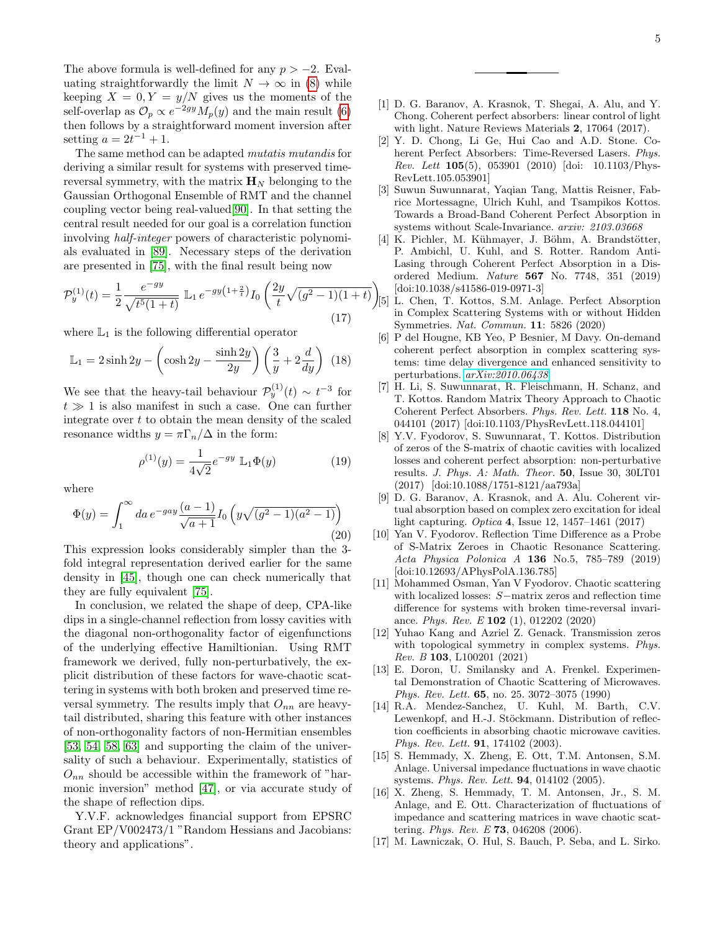The above formula is well-defined for any  $p > -2$ . Evaluating straightforwardly the limit  $N \to \infty$  in [\(8\)](#page-3-4) while keeping  $X = 0, Y = y/N$  gives us the moments of the self-overlap as  $\mathcal{O}_p \propto e^{-2gy} M_p(y)$  and the main result [\(6\)](#page-2-0) then follows by a straightforward moment inversion after setting  $a = 2t^{-1} + 1$ .

The same method can be adapted mutatis mutandis for deriving a similar result for systems with preserved timereversal symmetry, with the matrix  $\mathbf{H}_{N}$  belonging to the Gaussian Orthogonal Ensemble of RMT and the channel coupling vector being real-valued[\[90\]](#page-6-25). In that setting the central result needed for our goal is a correlation function involving half-integer powers of characteristic polynomials evaluated in [\[89\]](#page-6-26). Necessary steps of the derivation are presented in [\[75\]](#page-6-8), with the final result being now

$$
\mathcal{P}_y^{(1)}(t) = \frac{1}{2} \frac{e^{-gy}}{\sqrt{t^5 (1+t)}} \mathbb{L}_1 e^{-gy(1+\frac{2}{t})} I_0 \left( \frac{2y}{t} \sqrt{(g^2 - 1)(1+t)} \right) \tag{17}
$$

where  $\mathbb{L}_1$  is the following differential operator

$$
\mathbb{L}_1 = 2\sinh 2y - \left(\cosh 2y - \frac{\sinh 2y}{2y}\right)\left(\frac{3}{y} + 2\frac{d}{dy}\right) (18)
$$

We see that the heavy-tail behaviour  $\mathcal{P}_y^{(1)}(t) \sim t^{-3}$  for  $t \gg 1$  is also manifest in such a case. One can further integrate over  $t$  to obtain the mean density of the scaled resonance widths  $y = \pi \Gamma_n / \Delta$  in the form:

$$
\rho^{(1)}(y) = \frac{1}{4\sqrt{2}} e^{-gy} \, \mathbb{L}_1 \Phi(y) \tag{19}
$$

where

$$
\Phi(y) = \int_1^{\infty} da \, e^{-gay} \frac{(a-1)}{\sqrt{a+1}} I_0 \left( y \sqrt{(g^2 - 1)(a^2 - 1)} \right)
$$
\n(20)

This expression looks considerably simpler than the 3 fold integral representation derived earlier for the same density in [\[45\]](#page-5-16), though one can check numerically that they are fully equivalent [\[75\]](#page-6-8).

In conclusion, we related the shape of deep, CPA-like dips in a single-channel reflection from lossy cavities with the diagonal non-orthogonality factor of eigenfunctions of the underlying effective Hamiltionian. Using RMT framework we derived, fully non-perturbatively, the explicit distribution of these factors for wave-chaotic scattering in systems with both broken and preserved time reversal symmetry. The results imply that  $O_{nn}$  are heavytail distributed, sharing this feature with other instances of non-orthogonality factors of non-Hermitian ensembles [\[53,](#page-6-10) [54,](#page-6-11) [58,](#page-6-12) [63\]](#page-6-0) and supporting the claim of the universality of such a behaviour. Experimentally, statistics of  $O_{nn}$  should be accessible within the framework of "harmonic inversion" method [\[47\]](#page-5-11), or via accurate study of the shape of reflection dips.

Y.V.F. acknowledges financial support from EPSRC Grant EP/V002473/1 "Random Hessians and Jacobians: theory and applications".

- <span id="page-4-0"></span>[1] D. G. Baranov, A. Krasnok, T. Shegai, A. Alu, and Y. Chong. Coherent perfect absorbers: linear control of light with light. Nature Reviews Materials 2, 17064 (2017).
- <span id="page-4-1"></span>[2] Y. D. Chong, Li Ge, Hui Cao and A.D. Stone. Coherent Perfect Absorbers: Time-Reversed Lasers. Phys. *Rev. Lett*  $105(5)$ ,  $053901$  (2010) [doi: 10.1103/Phys-RevLett.105.053901]
- <span id="page-4-2"></span>[3] Suwun Suwunnarat, Yaqian Tang, Mattis Reisner, Fabrice Mortessagne, Ulrich Kuhl, and Tsampikos Kottos. Towards a Broad-Band Coherent Perfect Absorption in systems without Scale-Invariance. arxiv: 2103.03668
- <span id="page-4-3"></span>[4] K. Pichler, M. Kühmayer, J. Böhm, A. Brandstötter, P. Ambichl, U. Kuhl, and S. Rotter. Random Anti-Lasing through Coherent Perfect Absorption in a Disordered Medium. Nature 567 No. 7748, 351 (2019) [doi:10.1038/s41586-019-0971-3]
- <span id="page-4-4"></span>[5] L. Chen, T. Kottos, S.M. Anlage. Perfect Absorption in Complex Scattering Systems with or without Hidden Symmetries. Nat. Commun. 11: 5826 (2020)
- <span id="page-4-5"></span>[6] P del Hougne, KB Yeo, P Besnier, M Davy. On-demand coherent perfect absorption in complex scattering systems: time delay divergence and enhanced sensitivity to perturbations. [arXiv:2010.06438](http://arxiv.org/abs/2010.06438)
- <span id="page-4-6"></span>[7] H. Li, S. Suwunnarat, R. Fleischmann, H. Schanz, and T. Kottos. Random Matrix Theory Approach to Chaotic Coherent Perfect Absorbers. Phys. Rev. Lett. 118 No. 4, 044101 (2017) [doi:10.1103/PhysRevLett.118.044101]
- [8] Y.V. Fyodorov, S. Suwunnarat, T. Kottos. Distribution of zeros of the S-matrix of chaotic cavities with localized losses and coherent perfect absorption: non-perturbative results. J. Phys. A: Math. Theor. 50, Issue 30, 30LT01 (2017) [doi:10.1088/1751-8121/aa793a]
- [9] D. G. Baranov, A. Krasnok, and A. Alu. Coherent virtual absorption based on complex zero excitation for ideal light capturing. Optica 4, Issue 12, 1457–1461 (2017)
- [10] Yan V. Fyodorov. Reflection Time Difference as a Probe of S-Matrix Zeroes in Chaotic Resonance Scattering. Acta Physica Polonica A 136 No.5, 785–789 (2019) [doi:10.12693/APhysPolA.136.785]
- [11] Mohammed Osman, Yan V Fyodorov. Chaotic scattering with localized losses: S−matrix zeros and reflection time difference for systems with broken time-reversal invariance. Phys. Rev. E 102 (1), 012202 (2020)
- <span id="page-4-7"></span>[12] Yuhao Kang and Azriel Z. Genack. Transmission zeros with topological symmetry in complex systems. Phys. Rev. B 103, L100201 (2021)
- <span id="page-4-9"></span>[13] E. Doron, U. Smilansky and A. Frenkel. Experimental Demonstration of Chaotic Scattering of Microwaves. Phys. Rev. Lett. 65, no. 25. 3072–3075 (1990)
- <span id="page-4-8"></span>[14] R.A. Mendez-Sanchez, U. Kuhl, M. Barth, C.V. Lewenkopf, and H.-J. Stöckmann. Distribution of reflection coefficients in absorbing chaotic microwave cavities. Phys. Rev. Lett. 91, 174102 (2003).
- [15] S. Hemmady, X. Zheng, E. Ott, T.M. Antonsen, S.M. Anlage. Universal impedance fluctuations in wave chaotic systems. Phys. Rev. Lett. 94, 014102 (2005).
- [16] X. Zheng, S. Hemmady, T. M. Antonsen, Jr., S. M. Anlage, and E. Ott. Characterization of fluctuations of impedance and scattering matrices in wave chaotic scattering. Phys. Rev. E 73, 046208 (2006).
- [17] M. Lawniczak, O. Hul, S. Bauch, P. Seba, and L. Sirko.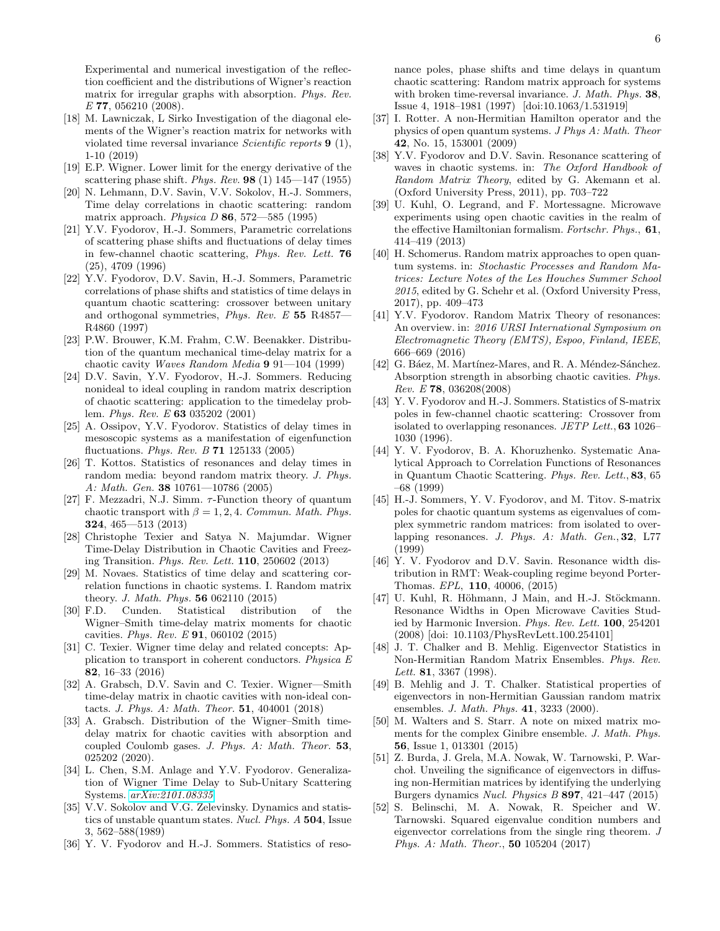Experimental and numerical investigation of the reflection coefficient and the distributions of Wigner's reaction matrix for irregular graphs with absorption. Phys. Rev. E 77, 056210 (2008).

- <span id="page-5-0"></span>[18] M. Lawniczak, L Sirko Investigation of the diagonal elements of the Wigner's reaction matrix for networks with violated time reversal invariance Scientific reports 9 (1), 1-10 (2019)
- <span id="page-5-1"></span>[19] E.P. Wigner. Lower limit for the energy derivative of the scattering phase shift. *Phys. Rev.* **98** (1)  $145 - 147$  (1955)
- <span id="page-5-2"></span>[20] N. Lehmann, D.V. Savin, V.V. Sokolov, H.-J. Sommers, Time delay correlations in chaotic scattering: random matrix approach. Physica  $D$  86, 572—585 (1995)
- [21] Y.V. Fyodorov, H.-J. Sommers, Parametric correlations of scattering phase shifts and fluctuations of delay times in few-channel chaotic scattering, Phys. Rev. Lett. 76 (25), 4709 (1996)
- [22] Y.V. Fyodorov, D.V. Savin, H.-J. Sommers, Parametric correlations of phase shifts and statistics of time delays in quantum chaotic scattering: crossover between unitary and orthogonal symmetries, Phys. Rev. E 55 R4857— R4860 (1997)
- [23] P.W. Brouwer, K.M. Frahm, C.W. Beenakker. Distribution of the quantum mechanical time-delay matrix for a chaotic cavity Waves Random Media 9 91—104 (1999)
- [24] D.V. Savin, Y.V. Fyodorov, H.-J. Sommers. Reducing nonideal to ideal coupling in random matrix description of chaotic scattering: application to the timedelay problem. Phys. Rev. E 63 035202 (2001)
- [25] A. Ossipov, Y.V. Fyodorov. Statistics of delay times in mesoscopic systems as a manifestation of eigenfunction fluctuations. Phys. Rev. B 71 125133 (2005)
- [26] T. Kottos. Statistics of resonances and delay times in random media: beyond random matrix theory. J. Phys. A: Math. Gen. 38 10761—10786 (2005)
- [27] F. Mezzadri, N.J. Simm.  $\tau$ -Function theory of quantum chaotic transport with  $\beta = 1, 2, 4$ . Commun. Math. Phys. 324, 465—513 (2013)
- <span id="page-5-3"></span>[28] Christophe Texier and Satya N. Majumdar. Wigner Time-Delay Distribution in Chaotic Cavities and Freezing Transition. Phys. Rev. Lett. 110, 250602 (2013)
- <span id="page-5-4"></span>[29] M. Novaes. Statistics of time delay and scattering correlation functions in chaotic systems. I. Random matrix theory. J. Math. Phys. 56 062110 (2015)
- [30] F.D. Cunden. Statistical distribution of the Wigner–Smith time-delay matrix moments for chaotic cavities. Phys. Rev. E 91, 060102 (2015)
- [31] C. Texier. Wigner time delay and related concepts: Application to transport in coherent conductors. Physica E 82, 16–33 (2016)
- [32] A. Grabsch, D.V. Savin and C. Texier. Wigner—Smith time-delay matrix in chaotic cavities with non-ideal contacts. J. Phys. A: Math. Theor. 51, 404001 (2018)
- [33] A. Grabsch. Distribution of the Wigner–Smith timedelay matrix for chaotic cavities with absorption and coupled Coulomb gases. J. Phys. A: Math. Theor. 53, 025202 (2020).
- <span id="page-5-5"></span>[34] L. Chen, S.M. Anlage and Y.V. Fyodorov. Generalization of Wigner Time Delay to Sub-Unitary Scattering Systems. [arXiv:2101.08335](http://arxiv.org/abs/2101.08335)
- <span id="page-5-6"></span>[35] V.V. Sokolov and V.G. Zelevinsky. Dynamics and statistics of unstable quantum states. Nucl. Phys. A 504, Issue 3, 562–588(1989)
- [36] Y. V. Fyodorov and H.-J. Sommers. Statistics of reso-

nance poles, phase shifts and time delays in quantum chaotic scattering: Random matrix approach for systems with broken time-reversal invariance. J. Math. Phys. 38, Issue 4, 1918–1981 (1997) [doi:10.1063/1.531919]

- [37] I. Rotter. A non-Hermitian Hamilton operator and the physics of open quantum systems. J Phys A: Math. Theor 42, No. 15, 153001 (2009)
- [38] Y.V. Fyodorov and D.V. Savin. Resonance scattering of waves in chaotic systems. in: The Oxford Handbook of Random Matrix Theory, edited by G. Akemann et al. (Oxford University Press, 2011), pp. 703–722
- [39] U. Kuhl, O. Legrand, and F. Mortessagne. Microwave experiments using open chaotic cavities in the realm of the effective Hamiltonian formalism. Fortschr. Phys., 61, 414–419 (2013)
- [40] H. Schomerus. Random matrix approaches to open quantum systems. in: Stochastic Processes and Random Matrices: Lecture Notes of the Les Houches Summer School 2015, edited by G. Schehr et al. (Oxford University Press, 2017), pp. 409–473
- <span id="page-5-7"></span>[41] Y.V. Fyodorov. Random Matrix Theory of resonances: An overview. in: 2016 URSI International Symposium on Electromagnetic Theory (EMTS), Espoo, Finland, IEEE, 666–669 (2016)
- <span id="page-5-8"></span>[42] G. Báez, M. Martínez-Mares, and R. A. Méndez-Sánchez. Absorption strength in absorbing chaotic cavities. Phys. Rev. E 78, 036208(2008)
- <span id="page-5-9"></span>[43] Y. V. Fyodorov and H.-J. Sommers. Statistics of S-matrix poles in few-channel chaotic scattering: Crossover from isolated to overlapping resonances. JETP Lett., 63 1026– 1030 (1996).
- <span id="page-5-15"></span>[44] Y. V. Fyodorov, B. A. Khoruzhenko. Systematic Analytical Approach to Correlation Functions of Resonances in Quantum Chaotic Scattering. Phys. Rev. Lett., 83, 65 –68 (1999)
- <span id="page-5-16"></span>[45] H.-J. Sommers, Y. V. Fyodorov, and M. Titov. S-matrix poles for chaotic quantum systems as eigenvalues of complex symmetric random matrices: from isolated to overlapping resonances. J. Phys. A: Math. Gen., 32, L77 (1999)
- <span id="page-5-10"></span>[46] Y. V. Fyodorov and D.V. Savin. Resonance width distribution in RMT: Weak-coupling regime beyond Porter-Thomas. EPL, 110, 40006, (2015)
- <span id="page-5-11"></span>[47] U. Kuhl, R. Höhmann, J Main, and H.-J. Stöckmann. Resonance Widths in Open Microwave Cavities Studied by Harmonic Inversion. Phys. Rev. Lett. 100, 254201 (2008) [doi: 10.1103/PhysRevLett.100.254101]
- <span id="page-5-12"></span>[48] J. T. Chalker and B. Mehlig. Eigenvector Statistics in Non-Hermitian Random Matrix Ensembles. Phys. Rev. Lett. **81**, 3367 (1998).
- <span id="page-5-13"></span>[49] B. Mehlig and J. T. Chalker. Statistical properties of eigenvectors in non-Hermitian Gaussian random matrix ensembles. J. Math. Phys. 41, 3233 (2000).
- <span id="page-5-14"></span>[50] M. Walters and S. Starr. A note on mixed matrix moments for the complex Ginibre ensemble. J. Math. Phys. 56, Issue 1, 013301 (2015)
- [51] Z. Burda, J. Grela, M.A. Nowak, W. Tarnowski, P. Warchol. Unveiling the significance of eigenvectors in diffusing non-Hermitian matrices by identifying the underlying Burgers dynamics Nucl. Physics B 897, 421–447 (2015)
- [52] S. Belinschi, M. A. Nowak, R. Speicher and W. Tarnowski. Squared eigenvalue condition numbers and eigenvector correlations from the single ring theorem. J Phys. A: Math. Theor., 50 105204 (2017)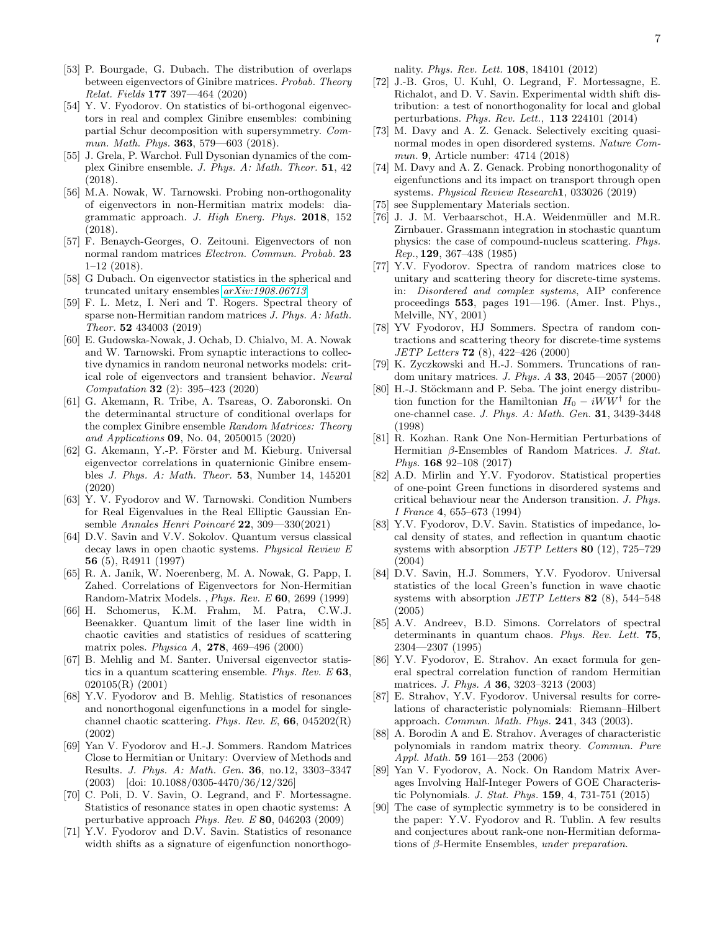- <span id="page-6-10"></span>[53] P. Bourgade, G. Dubach. The distribution of overlaps between eigenvectors of Ginibre matrices. Probab. Theory Relat. Fields 177 397—464 (2020)
- <span id="page-6-11"></span>[54] Y. V. Fyodorov. On statistics of bi-orthogonal eigenvectors in real and complex Ginibre ensembles: combining partial Schur decomposition with supersymmetry. Commun. Math. Phys. 363, 579—603 (2018).
- [55] J. Grela, P. Warchol. Full Dysonian dynamics of the complex Ginibre ensemble. J. Phys. A: Math. Theor. 51, 42 (2018).
- [56] M.A. Nowak, W. Tarnowski. Probing non-orthogonality of eigenvectors in non-Hermitian matrix models: diagrammatic approach. J. High Energ. Phys. 2018, 152 (2018).
- [57] F. Benaych-Georges, O. Zeitouni. Eigenvectors of non normal random matrices Electron. Commun. Probab. 23 1–12 (2018).
- <span id="page-6-12"></span>[58] G Dubach. On eigenvector statistics in the spherical and truncated unitary ensembles [arXiv:1908.06713](http://arxiv.org/abs/1908.06713)
- [59] F. L. Metz, I. Neri and T. Rogers. Spectral theory of sparse non-Hermitian random matrices J. Phys. A: Math. Theor. 52 434003 (2019)
- [60] E. Gudowska-Nowak, J. Ochab, D. Chialvo, M. A. Nowak and W. Tarnowski. From synaptic interactions to collective dynamics in random neuronal networks models: critical role of eigenvectors and transient behavior. Neural Computation 32 (2): 395–423 (2020)
- [61] G. Akemann, R. Tribe, A. Tsareas, O. Zaboronski. On the determinantal structure of conditional overlaps for the complex Ginibre ensemble Random Matrices: Theory and Applications 09, No. 04, 2050015 (2020)
- [62] G. Akemann, Y.-P. Förster and M. Kieburg. Universal eigenvector correlations in quaternionic Ginibre ensembles J. Phys. A: Math. Theor. 53, Number 14, 145201 (2020)
- <span id="page-6-0"></span>[63] Y. V. Fyodorov and W. Tarnowski. Condition Numbers for Real Eigenvalues in the Real Elliptic Gaussian Ensemble Annales Henri Poincaré  $22$ , 309—330(2021)
- <span id="page-6-1"></span>[64] D.V. Savin and V.V. Sokolov. Quantum versus classical decay laws in open chaotic systems. Physical Review E 56 (5), R4911 (1997)
- <span id="page-6-5"></span>[65] R. A. Janik, W. Noerenberg, M. A. Nowak, G. Papp, I. Zahed. Correlations of Eigenvectors for Non-Hermitian Random-Matrix Models. , Phys. Rev. E 60, 2699 (1999)
- [66] H. Schomerus, K.M. Frahm, M. Patra, C.W.J. Beenakker. Quantum limit of the laser line width in chaotic cavities and statistics of residues of scattering matrix poles. Physica A, 278, 469–496 (2000)
- [67] B. Mehlig and M. Santer. Universal eigenvector statistics in a quantum scattering ensemble. Phys. Rev.  $E$  63, 020105(R) (2001)
- <span id="page-6-6"></span>[68] Y.V. Fyodorov and B. Mehlig. Statistics of resonances and nonorthogonal eigenfunctions in a model for singlechannel chaotic scattering. Phys. Rev. E,  $66$ ,  $045202(R)$ (2002)
- <span id="page-6-7"></span>[69] Yan V. Fyodorov and H.-J. Sommers. Random Matrices Close to Hermitian or Unitary: Overview of Methods and Results. J. Phys. A: Math. Gen. 36, no.12, 3303–3347 (2003) [doi: 10.1088/0305-4470/36/12/326]
- [70] C. Poli, D. V. Savin, O. Legrand, and F. Mortessagne. Statistics of resonance states in open chaotic systems: A perturbative approach Phys. Rev. E 80, 046203 (2009)
- <span id="page-6-2"></span>[71] Y.V. Fyodorov and D.V. Savin. Statistics of resonance width shifts as a signature of eigenfunction nonorthogo-

nality. Phys. Rev. Lett. 108, 184101 (2012)

- <span id="page-6-3"></span>[72] J.-B. Gros, U. Kuhl, O. Legrand, F. Mortessagne, E. Richalot, and D. V. Savin. Experimental width shift distribution: a test of nonorthogonality for local and global perturbations. Phys. Rev. Lett., 113 224101 (2014)
- [73] M. Davy and A. Z. Genack. Selectively exciting quasinormal modes in open disordered systems. Nature Commun. 9, Article number: 4714 (2018)
- <span id="page-6-4"></span>[74] M. Davy and A. Z. Genack. Probing nonorthogonality of eigenfunctions and its impact on transport through open systems. Physical Review Research1, 033026 (2019)
- <span id="page-6-8"></span>[75] see Supplementary Materials section.
- <span id="page-6-9"></span>[76] J. J. M. Verbaarschot, H.A. Weidenmüller and M.R. Zirnbauer. Grassmann integration in stochastic quantum physics: the case of compound-nucleus scattering. Phys. Rep., 129, 367–438 (1985)
- <span id="page-6-13"></span>[77] Y.V. Fyodorov. Spectra of random matrices close to unitary and scattering theory for discrete-time systems. in: Disordered and complex systems, AIP conference proceedings 553, pages 191—196. (Amer. Inst. Phys., Melville, NY, 2001)
- <span id="page-6-14"></span>[78] YV Fyodorov, HJ Sommers. Spectra of random contractions and scattering theory for discrete-time systems JETP Letters 72 (8), 422–426 (2000)
- <span id="page-6-15"></span>[79] K. Zyczkowski and H.-J. Sommers. Truncations of random unitary matrices. J. Phys. A 33, 2045—2057 (2000)
- <span id="page-6-16"></span>[80] H.-J. Stöckmann and P. Seba. The joint energy distribution function for the Hamiltonian  $H_0 - iWW^{\dagger}$  for the one-channel case. J. Phys. A: Math. Gen. 31, 3439-3448 (1998)
- <span id="page-6-17"></span>[81] R. Kozhan. Rank One Non-Hermitian Perturbations of Hermitian β-Ensembles of Random Matrices. J. Stat. Phys. 168 92–108 (2017)
- <span id="page-6-18"></span>[82] A.D. Mirlin and Y.V. Fyodorov. Statistical properties of one-point Green functions in disordered systems and critical behaviour near the Anderson transition. J. Phys. I France 4, 655–673 (1994)
- <span id="page-6-19"></span>[83] Y.V. Fyodorov, D.V. Savin. Statistics of impedance, local density of states, and reflection in quantum chaotic systems with absorption JETP Letters 80 (12), 725–729 (2004)
- <span id="page-6-20"></span>[84] D.V. Savin, H.J. Sommers, Y.V. Fyodorov. Universal statistics of the local Green's function in wave chaotic systems with absorption  $JETP$  Letters 82 (8), 544–548 (2005)
- <span id="page-6-21"></span>[85] A.V. Andreev, B.D. Simons. Correlators of spectral determinants in quantum chaos. Phys. Rev. Lett. 75, 2304—2307 (1995)
- <span id="page-6-22"></span>[86] Y.V. Fyodorov, E. Strahov. An exact formula for general spectral correlation function of random Hermitian matrices. J. Phys. A 36, 3203–3213 (2003)
- <span id="page-6-23"></span>[87] E. Strahov, Y.V. Fyodorov. Universal results for correlations of characteristic polynomials: Riemann–Hilbert approach. Commun. Math. Phys. 241, 343 (2003).
- <span id="page-6-24"></span>[88] A. Borodin A and E. Strahov. Averages of characteristic polynomials in random matrix theory. Commun. Pure Appl. Math. 59 161—253 (2006)
- <span id="page-6-26"></span>[89] Yan V. Fyodorov, A. Nock. On Random Matrix Averages Involving Half-Integer Powers of GOE Characteristic Polynomials. J. Stat. Phys. 159, 4, 731-751 (2015)
- <span id="page-6-25"></span>[90] The case of symplectic symmetry is to be considered in the paper: Y.V. Fyodorov and R. Tublin. A few results and conjectures about rank-one non-Hermitian deformations of β-Hermite Ensembles, under preparation.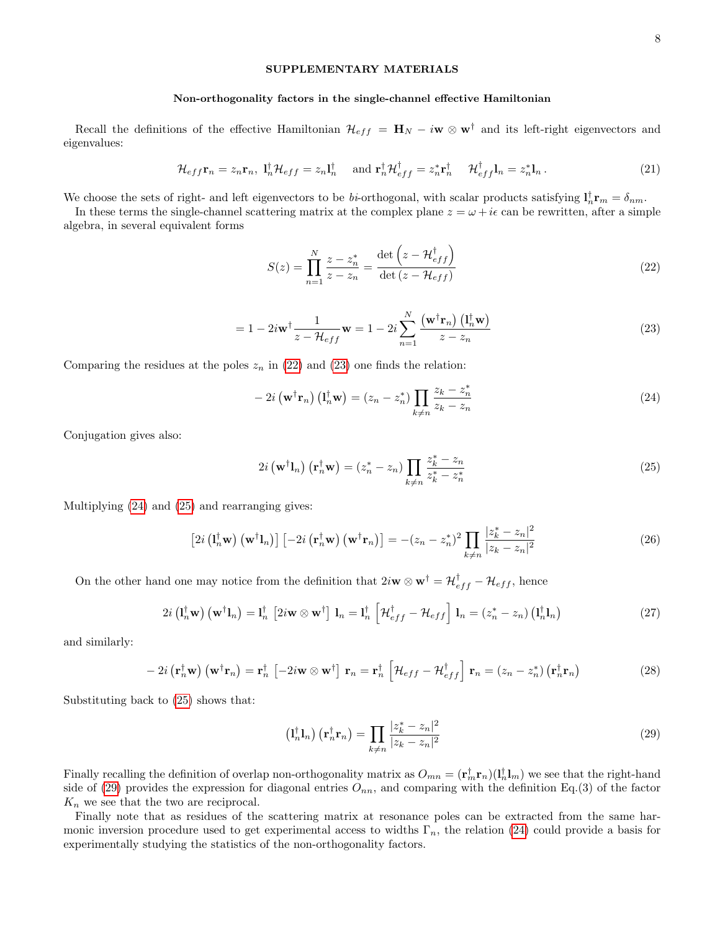### SUPPLEMENTARY MATERIALS

#### Non-orthogonality factors in the single-channel effective Hamiltonian

Recall the definitions of the effective Hamiltonian  $\mathcal{H}_{eff} = \mathbf{H}_{N} - i\mathbf{w} \otimes \mathbf{w}^{\dagger}$  and its left-right eigenvectors and eigenvalues:

$$
\mathcal{H}_{eff}\mathbf{r}_n = z_n \mathbf{r}_n, \ \mathbf{l}_n^\dagger \mathcal{H}_{eff} = z_n \mathbf{l}_n^\dagger \quad \text{and } \mathbf{r}_n^\dagger \mathcal{H}_{eff}^\dagger = z_n^* \mathbf{r}_n^\dagger \quad \mathcal{H}_{eff}^\dagger \mathbf{l}_n = z_n^* \mathbf{l}_n \,. \tag{21}
$$

We choose the sets of right- and left eigenvectors to be bi-orthogonal, with scalar products satisfying  $l_n^{\dagger} \mathbf{r}_m = \delta_{nm}$ .

In these terms the single-channel scattering matrix at the complex plane  $z = \omega + i\epsilon$  can be rewritten, after a simple algebra, in several equivalent forms

<span id="page-7-0"></span>
$$
S(z) = \prod_{n=1}^{N} \frac{z - z_n^*}{z - z_n} = \frac{\det\left(z - \mathcal{H}_{eff}^{\dagger}\right)}{\det\left(z - \mathcal{H}_{eff}\right)}
$$
(22)

<span id="page-7-1"></span>
$$
= 1 - 2i\mathbf{w}^{\dagger} \frac{1}{z - \mathcal{H}_{eff}} \mathbf{w} = 1 - 2i \sum_{n=1}^{N} \frac{(\mathbf{w}^{\dagger} \mathbf{r}_{n}) (\mathbf{l}_{n}^{\dagger} \mathbf{w})}{z - z_{n}}
$$
(23)

Comparing the residues at the poles  $z_n$  in [\(22\)](#page-7-0) and [\(23\)](#page-7-1) one finds the relation:

<span id="page-7-2"></span>
$$
-2i\left(\mathbf{w}^{\dagger}\mathbf{r}_{n}\right)\left(\mathbf{l}_{n}^{\dagger}\mathbf{w}\right)=(z_{n}-z_{n}^{*})\prod_{k\neq n}\frac{z_{k}-z_{n}^{*}}{z_{k}-z_{n}}
$$
\n(24)

Conjugation gives also:

<span id="page-7-3"></span>
$$
2i\left(\mathbf{w}^{\dagger}\mathbf{1}_{n}\right)\left(\mathbf{r}_{n}^{\dagger}\mathbf{w}\right)=(z_{n}^{*}-z_{n})\prod_{k\neq n}\frac{z_{k}^{*}-z_{n}}{z_{k}^{*}-z_{n}^{*}}
$$
\n(25)

Multiplying [\(24\)](#page-7-2) and [\(25\)](#page-7-3) and rearranging gives:

$$
\left[2i\left(\mathbf{l}_{n}^{\dagger}\mathbf{w}\right)\left(\mathbf{w}^{\dagger}\mathbf{l}_{n}\right)\right]\left[-2i\left(\mathbf{r}_{n}^{\dagger}\mathbf{w}\right)\left(\mathbf{w}^{\dagger}\mathbf{r}_{n}\right)\right] = -(z_{n} - z_{n}^{*})^{2} \prod_{k \neq n} \frac{|z_{k}^{*} - z_{n}|^{2}}{|z_{k} - z_{n}|^{2}}\tag{26}
$$

On the other hand one may notice from the definition that  $2i\mathbf{w} \otimes \mathbf{w}^{\dagger} = \mathcal{H}_{eff}^{\dagger} - \mathcal{H}_{eff}$ , hence

$$
2i\left(\mathbf{l}_n^{\dagger}\mathbf{w}\right)\left(\mathbf{w}^{\dagger}\mathbf{l}_n\right) = \mathbf{l}_n^{\dagger}\left[2i\mathbf{w}\otimes\mathbf{w}^{\dagger}\right]\mathbf{l}_n = \mathbf{l}_n^{\dagger}\left[\mathcal{H}_{eff}^{\dagger} - \mathcal{H}_{eff}\right]\mathbf{l}_n = \left(z_n^* - z_n\right)\left(\mathbf{l}_n^{\dagger}\mathbf{l}_n\right) \tag{27}
$$

and similarly:

$$
-2i\left(\mathbf{r}_{n}^{\dagger}\mathbf{w}\right)\left(\mathbf{w}^{\dagger}\mathbf{r}_{n}\right)=\mathbf{r}_{n}^{\dagger}\left[-2i\mathbf{w}\otimes\mathbf{w}^{\dagger}\right]\mathbf{r}_{n}=\mathbf{r}_{n}^{\dagger}\left[\mathcal{H}_{eff}-\mathcal{H}_{eff}^{\dagger}\right]\mathbf{r}_{n}=\left(z_{n}-z_{n}^{*}\right)\left(\mathbf{r}_{n}^{\dagger}\mathbf{r}_{n}\right)
$$
\n(28)

Substituting back to [\(25\)](#page-7-3) shows that:

<span id="page-7-4"></span>
$$
\left(\mathbf{l}_n^{\dagger}\mathbf{l}_n\right)\left(\mathbf{r}_n^{\dagger}\mathbf{r}_n\right) = \prod_{k \neq n} \frac{|z_k^* - z_n|^2}{|z_k - z_n|^2} \tag{29}
$$

Finally recalling the definition of overlap non-orthogonality matrix as  $O_{mn} = (\mathbf{r}_m^{\dagger} \mathbf{r}_n)(\mathbf{l}_n^{\dagger} \mathbf{l}_m)$  we see that the right-hand side of [\(29\)](#page-7-4) provides the expression for diagonal entries  $O_{nn}$ , and comparing with the definition Eq.(3) of the factor  $K_n$  we see that the two are reciprocal.

Finally note that as residues of the scattering matrix at resonance poles can be extracted from the same harmonic inversion procedure used to get experimental access to widths  $\Gamma_n$ , the relation [\(24\)](#page-7-2) could provide a basis for experimentally studying the statistics of the non-orthogonality factors.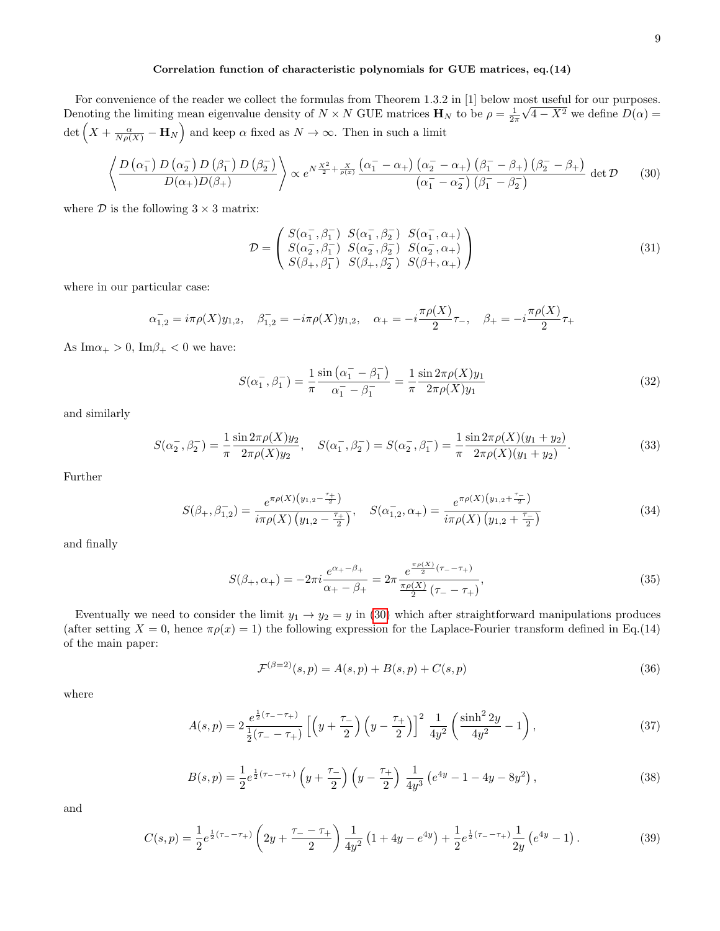# Correlation function of characteristic polynomials for GUE matrices, eq.(14)

For convenience of the reader we collect the formulas from Theorem 1.3.2 in [1] below most useful for our purposes. Denoting the limiting mean eigenvalue density of  $N \times N$  GUE matrices  $\mathbf{H}_N$  to be  $\rho = \frac{1}{2\pi} \sqrt{4 - X^2}$  we define  $D(\alpha)$ det  $(X + \frac{\alpha}{N\rho(X)} - \mathbf{H}_N)$  and keep  $\alpha$  fixed as  $N \to \infty$ . Then in such a limit

<span id="page-8-0"></span>
$$
\left\langle \frac{D\left(\alpha_{1}^{-}\right)D\left(\alpha_{2}^{-}\right)D\left(\beta_{1}^{-}\right)D\left(\beta_{2}^{-}\right)}{D(\alpha_{+})D(\beta_{+})}\right\rangle \propto e^{N\frac{\chi^{2}}{2}+\frac{\chi}{\rho(x)}\frac{\left(\alpha_{1}^{-}-\alpha_{+}\right)\left(\alpha_{2}^{-}-\alpha_{+}\right)\left(\beta_{1}^{-}-\beta_{+}\right)\left(\beta_{2}^{-}-\beta_{+}\right)}{\left(\alpha_{1}^{-}-\alpha_{2}^{-}\right)\left(\beta_{1}^{-}-\beta_{2}^{-}\right)}\det\mathcal{D}\tag{30}
$$

where  $D$  is the following  $3 \times 3$  matrix:

$$
\mathcal{D} = \begin{pmatrix} S(\alpha_1^-, \beta_1^-) & S(\alpha_1^-, \beta_2^-) & S(\alpha_1^-, \alpha_+) \\ S(\alpha_2^-, \beta_1^-) & S(\alpha_2^-, \beta_2^-) & S(\alpha_2^-, \alpha_+) \\ S(\beta_+, \beta_1^-) & S(\beta_+, \beta_2^-) & S(\beta_+, \alpha_+) \end{pmatrix}
$$
\n(31)

where in our particular case:

$$
\alpha_{1,2}^- = i\pi\rho(X)y_{1,2}, \quad \beta_{1,2}^- = -i\pi\rho(X)y_{1,2}, \quad \alpha_+ = -i\frac{\pi\rho(X)}{2}\tau_-, \quad \beta_+ = -i\frac{\pi\rho(X)}{2}\tau_+
$$

As  $\text{Im}\alpha_+ > 0$ ,  $\text{Im}\beta_+ < 0$  we have:

$$
S(\alpha_1^-,\beta_1^-) = \frac{1}{\pi} \frac{\sin(\alpha_1^- - \beta_1^-)}{\alpha_1^- - \beta_1^-} = \frac{1}{\pi} \frac{\sin 2\pi \rho(X) y_1}{2\pi \rho(X) y_1}
$$
(32)

and similarly

$$
S(\alpha_2^-, \beta_2^-) = \frac{1}{\pi} \frac{\sin 2\pi \rho(X) y_2}{2\pi \rho(X) y_2}, \quad S(\alpha_1^-, \beta_2^-) = S(\alpha_2^-, \beta_1^-) = \frac{1}{\pi} \frac{\sin 2\pi \rho(X) (y_1 + y_2)}{2\pi \rho(X) (y_1 + y_2)}.
$$
(33)

Further

$$
S(\beta_+, \beta_{1,2}^-) = \frac{e^{\pi \rho(X)}(y_{1,2} - \frac{\tau_+}{2})}{i\pi \rho(X) (y_{1,2} - \frac{\tau_+}{2})}, \quad S(\alpha_{1,2}^-, \alpha_+) = \frac{e^{\pi \rho(X)}(y_{1,2} + \frac{\tau_-}{2})}{i\pi \rho(X) (y_{1,2} + \frac{\tau_-}{2})}
$$
(34)

and finally

$$
S(\beta_+, \alpha_+) = -2\pi i \frac{e^{\alpha_+ - \beta_+}}{\alpha_+ - \beta_+} = 2\pi \frac{e^{\frac{\pi \rho(X)}{2}(\tau_- - \tau_+)}}{\frac{\pi \rho(X)}{2}(\tau_- - \tau_+)},
$$
(35)

Eventually we need to consider the limit  $y_1 \rightarrow y_2 = y$  in [\(30\)](#page-8-0) which after straightforward manipulations produces (after setting  $X = 0$ , hence  $\pi \rho(x) = 1$ ) the following expression for the Laplace-Fourier transform defined in Eq.(14) of the main paper:

$$
\mathcal{F}^{(\beta=2)}(s,p) = A(s,p) + B(s,p) + C(s,p)
$$
\n(36)

where

<span id="page-8-1"></span>
$$
A(s,p) = 2\frac{e^{\frac{1}{2}(\tau_{-} - \tau_{+})}}{\frac{1}{2}(\tau_{-} - \tau_{+})} \left[ \left( y + \frac{\tau_{-}}{2} \right) \left( y - \frac{\tau_{+}}{2} \right) \right]^2 \frac{1}{4y^2} \left( \frac{\sinh^2 2y}{4y^2} - 1 \right), \tag{37}
$$

$$
B(s,p) = \frac{1}{2}e^{\frac{1}{2}(\tau_{-} - \tau_{+})} \left(y + \frac{\tau_{-}}{2}\right) \left(y - \frac{\tau_{+}}{2}\right) \frac{1}{4y^{3}} \left(e^{4y} - 1 - 4y - 8y^{2}\right),\tag{38}
$$

and

<span id="page-8-2"></span>
$$
C(s,p) = \frac{1}{2}e^{\frac{1}{2}(\tau_{-}-\tau_{+})}\left(2y + \frac{\tau_{-}-\tau_{+}}{2}\right)\frac{1}{4y^{2}}\left(1 + 4y - e^{4y}\right) + \frac{1}{2}e^{\frac{1}{2}(\tau_{-}-\tau_{+})}\frac{1}{2y}\left(e^{4y} - 1\right). \tag{39}
$$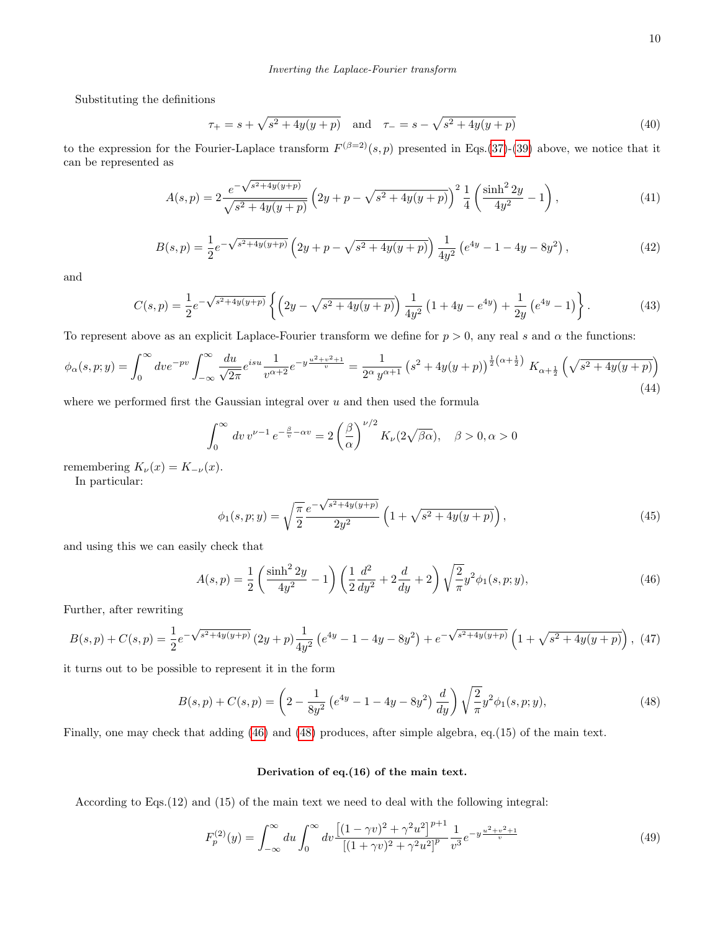Substituting the definitions

$$
\tau_{+} = s + \sqrt{s^2 + 4y(y+p)} \quad \text{and} \quad \tau_{-} = s - \sqrt{s^2 + 4y(y+p)} \tag{40}
$$

to the expression for the Fourier-Laplace transform  $F^{(\beta=2)}(s,p)$  presented in Eqs.[\(37\)](#page-8-1)-[\(39\)](#page-8-2) above, we notice that it can be represented as

$$
A(s,p) = 2 \frac{e^{-\sqrt{s^2 + 4y(y+p)}}}{\sqrt{s^2 + 4y(y+p)}} \left(2y + p - \sqrt{s^2 + 4y(y+p)}\right)^2 \frac{1}{4} \left(\frac{\sinh^2 2y}{4y^2} - 1\right),\tag{41}
$$

$$
B(s,p) = \frac{1}{2}e^{-\sqrt{s^2 + 4y(y+p)}} \left(2y + p - \sqrt{s^2 + 4y(y+p)}\right) \frac{1}{4y^2} \left(e^{4y} - 1 - 4y - 8y^2\right),\tag{42}
$$

and

$$
C(s,p) = \frac{1}{2}e^{-\sqrt{s^2 + 4y(y+p)}} \left\{ \left( 2y - \sqrt{s^2 + 4y(y+p)} \right) \frac{1}{4y^2} \left( 1 + 4y - e^{4y} \right) + \frac{1}{2y} \left( e^{4y} - 1 \right) \right\}.
$$
 (43)

To represent above as an explicit Laplace-Fourier transform we define for  $p > 0$ , any real s and  $\alpha$  the functions:

<span id="page-9-2"></span>
$$
\phi_{\alpha}(s,p;y) = \int_0^{\infty} dve^{-pv} \int_{-\infty}^{\infty} \frac{du}{\sqrt{2\pi}} e^{isu} \frac{1}{v^{\alpha+2}} e^{-y\frac{u^2+v^2+1}{v}} = \frac{1}{2^{\alpha}y^{\alpha+1}} \left(s^2 + 4y(y+p)\right)^{\frac{1}{2}(\alpha+\frac{1}{2})} K_{\alpha+\frac{1}{2}}\left(\sqrt{s^2 + 4y(y+p)}\right)
$$
\n(44)

where we performed first the Gaussian integral over  $u$  and then used the formula

$$
\int_0^\infty dv \, v^{\nu-1} \, e^{-\frac{\beta}{v} - \alpha v} = 2 \left( \frac{\beta}{\alpha} \right)^{\nu/2} K_\nu(2\sqrt{\beta \alpha}), \quad \beta > 0, \alpha > 0
$$

remembering  $K_{\nu}(x) = K_{-\nu}(x)$ .

In particular:

$$
\phi_1(s, p; y) = \sqrt{\frac{\pi}{2}} \frac{e^{-\sqrt{s^2 + 4y(y+p)}}}{2y^2} \left(1 + \sqrt{s^2 + 4y(y+p)}\right),\tag{45}
$$

and using this we can easily check that

<span id="page-9-0"></span>
$$
A(s,p) = \frac{1}{2} \left( \frac{\sinh^2 2y}{4y^2} - 1 \right) \left( \frac{1}{2} \frac{d^2}{dy^2} + 2 \frac{d}{dy} + 2 \right) \sqrt{\frac{2}{\pi}} y^2 \phi_1(s,p;y), \tag{46}
$$

Further, after rewriting

$$
B(s,p) + C(s,p) = \frac{1}{2}e^{-\sqrt{s^2 + 4y(y+p)}} \left(2y+p\right) \frac{1}{4y^2} \left(e^{4y} - 1 - 4y - 8y^2\right) + e^{-\sqrt{s^2 + 4y(y+p)}} \left(1 + \sqrt{s^2 + 4y(y+p)}\right),
$$
(47)

it turns out to be possible to represent it in the form

<span id="page-9-1"></span>
$$
B(s,p) + C(s,p) = \left(2 - \frac{1}{8y^2} \left(e^{4y} - 1 - 4y - 8y^2\right) \frac{d}{dy}\right) \sqrt{\frac{2}{\pi}} y^2 \phi_1(s,p;y),\tag{48}
$$

Finally, one may check that adding [\(46\)](#page-9-0) and [\(48\)](#page-9-1) produces, after simple algebra, eq.(15) of the main text.

## Derivation of eq.(16) of the main text.

According to Eqs.(12) and (15) of the main text we need to deal with the following integral:

$$
F_p^{(2)}(y) = \int_{-\infty}^{\infty} du \int_0^{\infty} dv \frac{\left[ (1 - \gamma v)^2 + \gamma^2 u^2 \right]^{p+1}}{\left[ (1 + \gamma v)^2 + \gamma^2 u^2 \right]^p} \frac{1}{v^3} e^{-y \frac{u^2 + v^2 + 1}{v}} \tag{49}
$$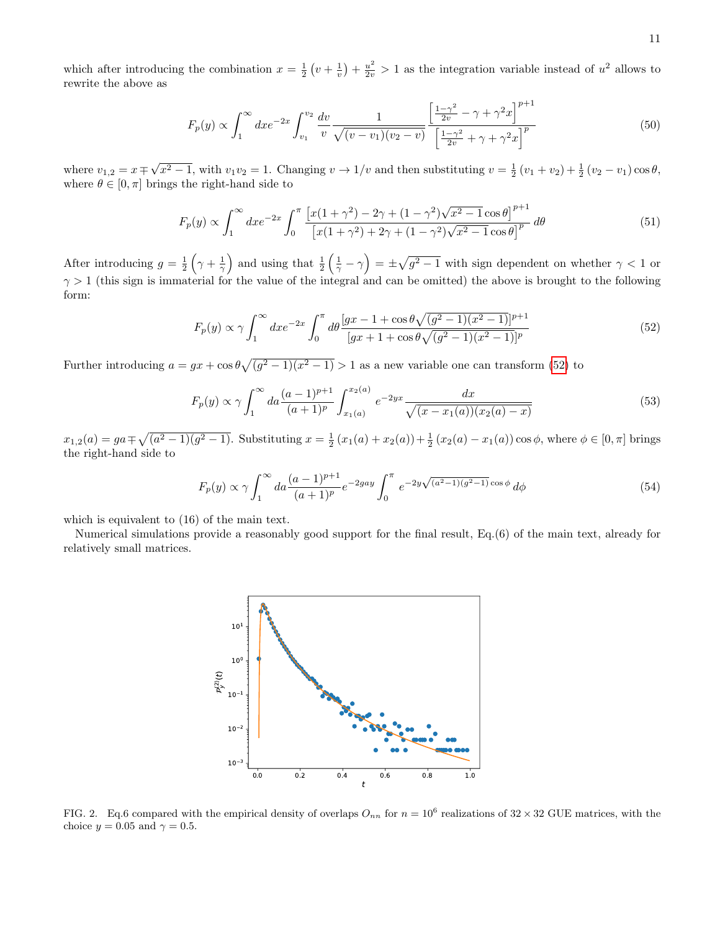which after introducing the combination  $x = \frac{1}{2}(v + \frac{1}{v}) + \frac{u^2}{2v} > 1$  as the integration variable instead of  $u^2$  allows to rewrite the above as

$$
F_p(y) \propto \int_1^{\infty} dx e^{-2x} \int_{v_1}^{v_2} \frac{dv}{v} \frac{1}{\sqrt{(v-v_1)(v_2-v)}} \frac{\left[\frac{1-\gamma^2}{2v} - \gamma + \gamma^2 x\right]^{p+1}}{\left[\frac{1-\gamma^2}{2v} + \gamma + \gamma^2 x\right]^p} \tag{50}
$$

where  $v_{1,2} = x \mp$ √  $\overline{x^2-1}$ , with  $v_1v_2=1$ . Changing  $v \to 1/v$  and then substituting  $v = \frac{1}{2}(v_1+v_2)+\frac{1}{2}(v_2-v_1)\cos\theta$ , where  $\theta \in [0, \pi]$  brings the right-hand side to

$$
F_p(y) \propto \int_1^{\infty} dx e^{-2x} \int_0^{\pi} \frac{\left[x(1+\gamma^2) - 2\gamma + (1-\gamma^2)\sqrt{x^2 - 1}\cos\theta\right]^{p+1}}{\left[x(1+\gamma^2) + 2\gamma + (1-\gamma^2)\sqrt{x^2 - 1}\cos\theta\right]^p} d\theta \tag{51}
$$

After introducing  $g = \frac{1}{2} \left( \gamma + \frac{1}{\gamma} \right)$  and using that  $\frac{1}{2} \left( \frac{1}{\gamma} - \gamma \right) = \pm \sqrt{g^2 - 1}$  with sign dependent on whether  $\gamma < 1$  or  $\gamma > 1$  (this sign is immaterial for the value of the integral and can be omitted) the above is brought to the following form:

<span id="page-10-0"></span>
$$
F_p(y) \propto \gamma \int_1^{\infty} dx e^{-2x} \int_0^{\pi} d\theta \frac{[gx - 1 + \cos\theta\sqrt{(g^2 - 1)(x^2 - 1)}]^{p+1}}{[gx + 1 + \cos\theta\sqrt{(g^2 - 1)(x^2 - 1)}]^{p}}
$$
(52)

Further introducing  $a = gx + \cos \theta \sqrt{(g^2 - 1)(x^2 - 1)} > 1$  as a new variable one can transform [\(52\)](#page-10-0) to

$$
F_p(y) \propto \gamma \int_1^{\infty} da \frac{(a-1)^{p+1}}{(a+1)^p} \int_{x_1(a)}^{x_2(a)} e^{-2yx} \frac{dx}{\sqrt{(x-x_1(a))(x_2(a)-x)}}
$$
(53)

 $x_{1,2}(a) = ga \mp \sqrt{(a^2 - 1)(g^2 - 1)}$ . Substituting  $x = \frac{1}{2}(x_1(a) + x_2(a)) + \frac{1}{2}(x_2(a) - x_1(a))\cos\phi$ , where  $\phi \in [0, \pi]$  brings the right-hand side to

$$
F_p(y) \propto \gamma \int_1^{\infty} da \frac{(a-1)^{p+1}}{(a+1)^p} e^{-2gay} \int_0^{\pi} e^{-2y\sqrt{(a^2-1)(g^2-1)}} \cos \phi \ d\phi \tag{54}
$$

which is equivalent to (16) of the main text.

Numerical simulations provide a reasonably good support for the final result, Eq.(6) of the main text, already for relatively small matrices.



FIG. 2. Eq.6 compared with the empirical density of overlaps  $O_{nn}$  for  $n = 10^6$  realizations of  $32 \times 32$  GUE matrices, with the choice  $y = 0.05$  and  $\gamma = 0.5$ .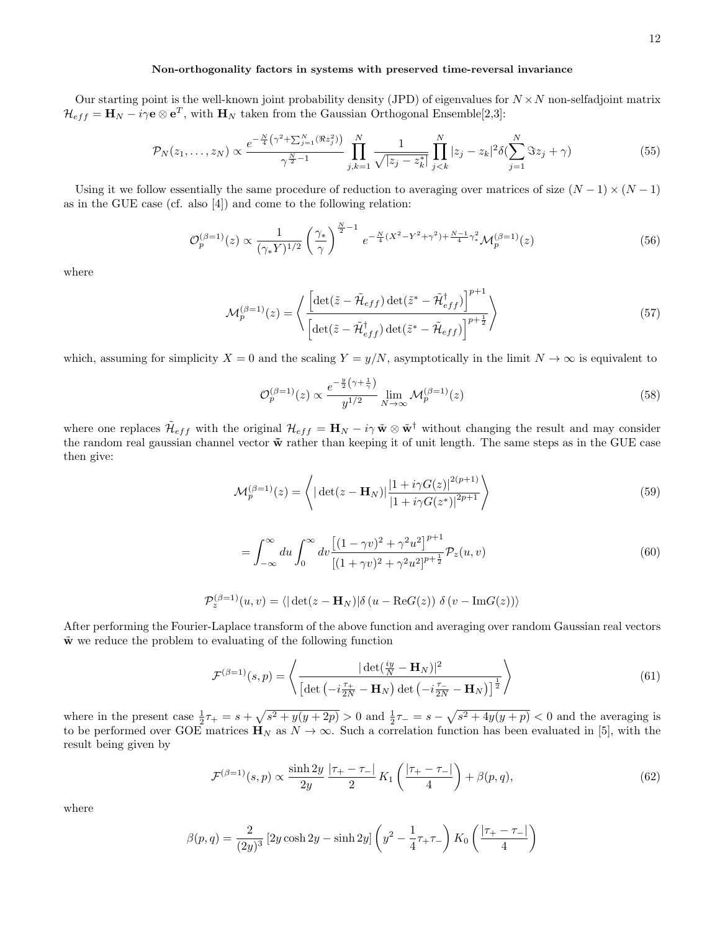### Non-orthogonality factors in systems with preserved time-reversal invariance

Our starting point is the well-known joint probability density (JPD) of eigenvalues for  $N \times N$  non-selfadjoint matrix  $\mathcal{H}_{eff} = \mathbf{H}_N - i\gamma \mathbf{e} \otimes \mathbf{e}^T$ , with  $\mathbf{H}_N$  taken from the Gaussian Orthogonal Ensemble[2,3]:

$$
\mathcal{P}_N(z_1,\ldots,z_N) \propto \frac{e^{-\frac{N}{4}\left(\gamma^2 + \sum_{j=1}^N (\Re z_j^2)\right)}}{\gamma^{\frac{N}{2}-1}} \prod_{j,k=1}^N \frac{1}{\sqrt{|z_j - z_k^*|}} \prod_{j
$$

Using it we follow essentially the same procedure of reduction to averaging over matrices of size  $(N-1) \times (N-1)$ as in the GUE case (cf. also [4]) and come to the following relation:

$$
\mathcal{O}_p^{(\beta=1)}(z) \propto \frac{1}{(\gamma_* Y)^{1/2}} \left(\frac{\gamma_*}{\gamma}\right)^{\frac{N}{2}-1} e^{-\frac{N}{4}(X^2 - Y^2 + \gamma^2) + \frac{N-1}{4}\gamma_*^2} \mathcal{M}_p^{(\beta=1)}(z)
$$
(56)

where

$$
\mathcal{M}_p^{(\beta=1)}(z) = \left\langle \frac{\left[ \det(\tilde{z} - \tilde{\mathcal{H}}_{eff}) \det(\tilde{z}^* - \tilde{\mathcal{H}}_{eff}^\dagger) \right]^{p+1}}{\left[ \det(\tilde{z} - \tilde{\mathcal{H}}_{eff}^\dagger) \det(\tilde{z}^* - \tilde{\mathcal{H}}_{eff}) \right]^{p+\frac{1}{2}}} \right\rangle \tag{57}
$$

which, assuming for simplicity  $X = 0$  and the scaling  $Y = y/N$ , asymptotically in the limit  $N \to \infty$  is equivalent to

$$
\mathcal{O}_p^{(\beta=1)}(z) \propto \frac{e^{-\frac{y}{2}\left(\gamma + \frac{1}{\gamma}\right)}}{y^{1/2}} \lim_{N \to \infty} \mathcal{M}_p^{(\beta=1)}(z) \tag{58}
$$

where one replaces  $\tilde{\mathcal{H}}_{eff}$  with the original  $\mathcal{H}_{eff} = \mathbf{H}_N - i\gamma \tilde{\mathbf{w}} \otimes \tilde{\mathbf{w}}^{\dagger}$  without changing the result and may consider the random real gaussian channel vector  $\tilde{\mathbf{w}}$  rather than keeping it of unit length. The same steps as in the GUE case then give:

$$
\mathcal{M}_p^{(\beta=1)}(z) = \left\langle |\det(z - \mathbf{H}_N)| \frac{|1 + i\gamma G(z)|^{2(p+1)}}{|1 + i\gamma G(z^*)|^{2p+1}} \right\rangle
$$
\n(59)

$$
= \int_{-\infty}^{\infty} du \int_{0}^{\infty} dv \frac{\left[ (1 - \gamma v)^2 + \gamma^2 u^2 \right]^{p+1}}{\left[ (1 + \gamma v)^2 + \gamma^2 u^2 \right]^{p+\frac{1}{2}}} \mathcal{P}_z(u, v) \tag{60}
$$

$$
\mathcal{P}_z^{(\beta=1)}(u,v) = \langle |\det(z - \mathbf{H}_N)| \delta (u - \text{Re}G(z)) \delta (v - \text{Im}G(z)) \rangle
$$

After performing the Fourier-Laplace transform of the above function and averaging over random Gaussian real vectors  $\tilde{\mathbf{w}}$  we reduce the problem to evaluating of the following function

$$
\mathcal{F}^{(\beta=1)}(s,p) = \left\langle \frac{|\det(\frac{iy}{N} - \mathbf{H}_N)|^2}{\left[\det\left(-i\frac{\tau_+}{2N} - \mathbf{H}_N\right)\det\left(-i\frac{\tau_-}{2N} - \mathbf{H}_N\right)\right]^{\frac{1}{2}}}\right\rangle\tag{61}
$$

where in the present case  $\frac{1}{2}\tau_+ = s + \sqrt{s^2 + y(y+2p)} > 0$  and  $\frac{1}{2}\tau_- = s - \sqrt{s^2 + 4y(y+p)} < 0$  and the averaging is to be performed over GOE matrices  $\mathbf{H}_N$  as  $N \to \infty$ . Such a correlation function has been evaluated in [5], with the result being given by

<span id="page-11-0"></span>
$$
\mathcal{F}^{(\beta=1)}(s,p) \propto \frac{\sinh 2y}{2y} \frac{|\tau_{+} - \tau_{-}|}{2} K_{1} \left( \frac{|\tau_{+} - \tau_{-}|}{4} \right) + \beta(p,q), \tag{62}
$$

where

$$
\beta(p,q) = \frac{2}{(2y)^3} \left[ 2y \cosh 2y - \sinh 2y \right] \left( y^2 - \frac{1}{4} \tau_+ \tau_- \right) K_0 \left( \frac{|\tau_+ - \tau_-|}{4} \right)
$$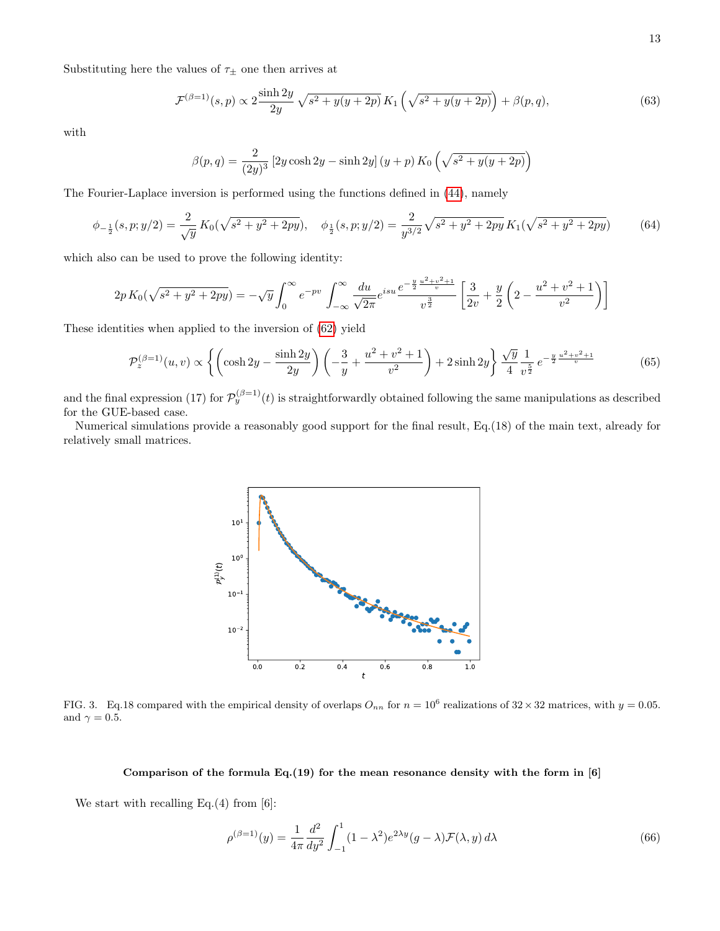Substituting here the values of  $\tau_{\pm}$  one then arrives at

$$
\mathcal{F}^{(\beta=1)}(s,p) \propto 2 \frac{\sinh 2y}{2y} \sqrt{s^2 + y(y+2p)} K_1 \left( \sqrt{s^2 + y(y+2p)} \right) + \beta(p,q),\tag{63}
$$

with

$$
\beta(p,q) = \frac{2}{(2y)^3} [2y \cosh 2y - \sinh 2y] (y+p) K_0 \left(\sqrt{s^2 + y(y+2p)}\right)
$$

The Fourier-Laplace inversion is performed using the functions defined in [\(44\)](#page-9-2), namely

$$
\phi_{-\frac{1}{2}}(s,p;y/2) = \frac{2}{\sqrt{y}} K_0(\sqrt{s^2 + y^2 + 2py}), \quad \phi_{\frac{1}{2}}(s,p;y/2) = \frac{2}{y^{3/2}} \sqrt{s^2 + y^2 + 2py} K_1(\sqrt{s^2 + y^2 + 2py}) \tag{64}
$$

which also can be used to prove the following identity:

$$
2p K_0(\sqrt{s^2 + y^2 + 2py}) = -\sqrt{y} \int_0^\infty e^{-pv} \int_{-\infty}^\infty \frac{du}{\sqrt{2\pi}} e^{isu} \frac{e^{-\frac{y}{2}\frac{u^2 + v^2 + 1}{v}}}{v^{\frac{3}{2}}} \left[ \frac{3}{2v} + \frac{y}{2} \left( 2 - \frac{u^2 + v^2 + 1}{v^2} \right) \right]
$$

These identities when applied to the inversion of [\(62\)](#page-11-0) yield

$$
\mathcal{P}_z^{(\beta=1)}(u,v) \propto \left\{ \left( \cosh 2y - \frac{\sinh 2y}{2y} \right) \left( -\frac{3}{y} + \frac{u^2 + v^2 + 1}{v^2} \right) + 2\sinh 2y \right\} \frac{\sqrt{y}}{4} \frac{1}{v^{\frac{5}{2}}} e^{-\frac{y}{2}\frac{u^2 + v^2 + 1}{v}} \tag{65}
$$

and the final expression (17) for  $\mathcal{P}_y^{(\beta=1)}(t)$  is straightforwardly obtained following the same manipulations as described for the GUE-based case.

Numerical simulations provide a reasonably good support for the final result, Eq.(18) of the main text, already for relatively small matrices.



FIG. 3. Eq.18 compared with the empirical density of overlaps  $O_{nn}$  for  $n = 10^6$  realizations of  $32 \times 32$  matrices, with  $y = 0.05$ . and  $\gamma=0.5.$ 

#### Comparison of the formula Eq.(19) for the mean resonance density with the form in  $[6]$

We start with recalling Eq.(4) from  $[6]$ :

$$
\rho^{(\beta=1)}(y) = \frac{1}{4\pi} \frac{d^2}{dy^2} \int_{-1}^1 (1 - \lambda^2) e^{2\lambda y} (g - \lambda) \mathcal{F}(\lambda, y) d\lambda \tag{66}
$$